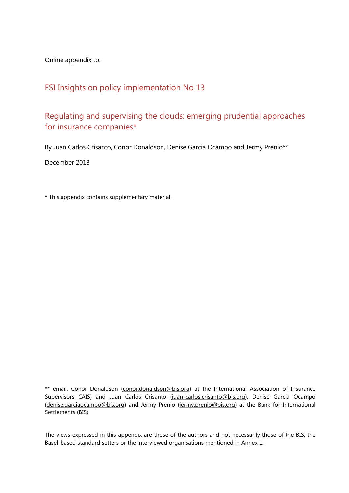Online appendix to:

## FSI Insights on policy implementation No 13

### Regulating and supervising the clouds: emerging prudential approaches for insurance companies\*

By Juan Carlos Crisanto, Conor Donaldson, Denise Garcia Ocampo and Jermy Prenio\*\*

December 2018

\* This appendix contains supplementary material.

\*\* email: Conor Donaldson (conor.donaldson@bis.org) at the International Association of Insurance Supervisors (IAIS) and Juan Carlos Crisanto (juan-carlos.crisanto@bis.org), Denise Garcia Ocampo (denise.garciaocampo@bis.org) and Jermy Prenio (jermy.prenio@bis.org) at the Bank for International Settlements (BIS).

The views expressed in this appendix are those of the authors and not necessarily those of the BIS, the Basel-based standard setters or the interviewed organisations mentioned in Annex 1.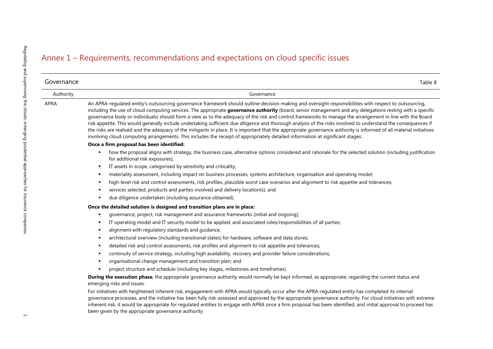# Annex 1 – Requirements, recommendations and expectations on cloud specific issues

| Governance | Table 8                                                                                                                                                                                                                                                                                                                                                                                                                                                                                                                                                                                                                                                                                                                                                                                                                                                                                                                                                      |
|------------|--------------------------------------------------------------------------------------------------------------------------------------------------------------------------------------------------------------------------------------------------------------------------------------------------------------------------------------------------------------------------------------------------------------------------------------------------------------------------------------------------------------------------------------------------------------------------------------------------------------------------------------------------------------------------------------------------------------------------------------------------------------------------------------------------------------------------------------------------------------------------------------------------------------------------------------------------------------|
| Authority  | Governance                                                                                                                                                                                                                                                                                                                                                                                                                                                                                                                                                                                                                                                                                                                                                                                                                                                                                                                                                   |
| APRA       | An APRA-regulated entity's outsourcing governance framework should outline decision-making and oversight responsibilities with respect to outsourcing,<br>including the use of cloud computing services. The appropriate governance authority (board, senior management and any delegations resting with a specific<br>governance body or individuals) should form a view as to the adequacy of the risk and control frameworks to manage the arrangement in line with the Board<br>risk appetite. This would generally include undertaking sufficient due diligence and thorough analysis of the risks involved to understand the consequences if<br>the risks are realised and the adequacy of the mitigants in place. It is important that the appropriate governance authority is informed of all material initiatives<br>involving cloud computing arrangements. This includes the receipt of appropriately detailed information at significant stages: |
|            | Once a firm proposal has been identified:                                                                                                                                                                                                                                                                                                                                                                                                                                                                                                                                                                                                                                                                                                                                                                                                                                                                                                                    |
|            | how the proposal aligns with strategy, the business case, alternative options considered and rationale for the selected solution (including justification<br>for additional risk exposures);                                                                                                                                                                                                                                                                                                                                                                                                                                                                                                                                                                                                                                                                                                                                                                 |
|            | IT assets in scope, categorised by sensitivity and criticality;<br>٠                                                                                                                                                                                                                                                                                                                                                                                                                                                                                                                                                                                                                                                                                                                                                                                                                                                                                         |
|            | materiality assessment, including impact on business processes, systems architecture, organisation and operating model;                                                                                                                                                                                                                                                                                                                                                                                                                                                                                                                                                                                                                                                                                                                                                                                                                                      |
|            | high-level risk and control assessments, risk profiles, plausible worst case scenarios and alignment to risk appetite and tolerances;<br>٠                                                                                                                                                                                                                                                                                                                                                                                                                                                                                                                                                                                                                                                                                                                                                                                                                   |
|            | services selected, products and parties involved and delivery location(s); and<br>٠<br>due diligence undertaken (including assurance obtained).                                                                                                                                                                                                                                                                                                                                                                                                                                                                                                                                                                                                                                                                                                                                                                                                              |
|            | Once the detailed solution is designed and transition plans are in place:                                                                                                                                                                                                                                                                                                                                                                                                                                                                                                                                                                                                                                                                                                                                                                                                                                                                                    |
|            | governance, project, risk management and assurance frameworks (initial and ongoing);                                                                                                                                                                                                                                                                                                                                                                                                                                                                                                                                                                                                                                                                                                                                                                                                                                                                         |
|            | IT operating model and IT security model to be applied, and associated roles/responsibilities of all parties;                                                                                                                                                                                                                                                                                                                                                                                                                                                                                                                                                                                                                                                                                                                                                                                                                                                |
|            | alignment with regulatory standards and guidance;<br>٠                                                                                                                                                                                                                                                                                                                                                                                                                                                                                                                                                                                                                                                                                                                                                                                                                                                                                                       |
|            | architectural overview (including transitional states) for hardware, software and data stores;<br>$\blacksquare$                                                                                                                                                                                                                                                                                                                                                                                                                                                                                                                                                                                                                                                                                                                                                                                                                                             |
|            | detailed risk and control assessments, risk profiles and alignment to risk appetite and tolerances;<br>$\blacksquare$                                                                                                                                                                                                                                                                                                                                                                                                                                                                                                                                                                                                                                                                                                                                                                                                                                        |
|            | continuity of service strategy, including high availability, recovery and provider failure considerations;<br>$\blacksquare$                                                                                                                                                                                                                                                                                                                                                                                                                                                                                                                                                                                                                                                                                                                                                                                                                                 |
|            | organisational change management and transition plan; and                                                                                                                                                                                                                                                                                                                                                                                                                                                                                                                                                                                                                                                                                                                                                                                                                                                                                                    |
|            | project structure and schedule (including key stages, milestones and timeframes).                                                                                                                                                                                                                                                                                                                                                                                                                                                                                                                                                                                                                                                                                                                                                                                                                                                                            |
|            | During the execution phase, the appropriate governance authority would normally be kept informed, as appropriate, regarding the current status and<br>emerging risks and issues.                                                                                                                                                                                                                                                                                                                                                                                                                                                                                                                                                                                                                                                                                                                                                                             |
|            | For initiatives with heightened inherent risk, engagement with APRA would typically occur after the APRA-regulated entity has completed its internal<br>governance processes, and the initiative has been fully risk-assessed and approved by the appropriate governance authority. For cloud initiatives with extreme<br>inherent risk, it would be appropriate for regulated entities to engage with APRA once a firm proposal has been identified, and initial approval to proceed has<br>been given by the appropriate governance authority.                                                                                                                                                                                                                                                                                                                                                                                                             |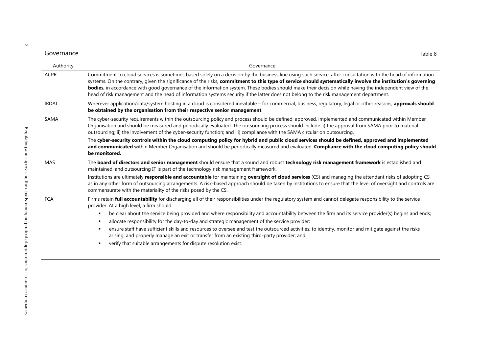| -<br>Governance | lable & |
|-----------------|---------|

| Authority   | Governance                                                                                                                                                                                                                                                                                                                                                                                                                                                                                                                                                                                                                      |
|-------------|---------------------------------------------------------------------------------------------------------------------------------------------------------------------------------------------------------------------------------------------------------------------------------------------------------------------------------------------------------------------------------------------------------------------------------------------------------------------------------------------------------------------------------------------------------------------------------------------------------------------------------|
| <b>ACPR</b> | Commitment to cloud services is sometimes based solely on a decision by the business line using such service, after consultation with the head of information<br>systems. On the contrary, given the significance of the risks, commitment to this type of service should systematically involve the institution's governing<br>bodies, in accordance with good governance of the information system. These bodies should make their decision while having the independent view of the<br>head of risk management and the head of information systems security if the latter does not belong to the risk management department. |
| IRDAI       | Wherever application/data/system hosting in a cloud is considered inevitable - for commercial, business, regulatory, legal or other reasons, approvals should<br>be obtained by the organisation from their respective senior management.                                                                                                                                                                                                                                                                                                                                                                                       |
| SAMA        | The cyber-security requirements within the outsourcing policy and process should be defined, approved, implemented and communicated within Member<br>Organisation and should be measured and periodically evaluated. The outsourcing process should include: i) the approval from SAMA prior to material<br>outsourcing; ii) the involvement of the cyber-security function; and iii) compliance with the SAMA circular on outsourcing.                                                                                                                                                                                         |
|             | The cyber-security controls within the cloud computing policy for hybrid and public cloud services should be defined, approved and implemented<br>and communicated within Member Organisation and should be periodically measured and evaluated. Compliance with the cloud computing policy should<br>be monitored.                                                                                                                                                                                                                                                                                                             |
| MAS         | The board of directors and senior management should ensure that a sound and robust technology risk management framework is established and<br>maintained, and outsourcing IT is part of the technology risk management framework.                                                                                                                                                                                                                                                                                                                                                                                               |
|             | Institutions are ultimately responsible and accountable for maintaining oversight of cloud services (CS) and managing the attendant risks of adopting CS,<br>as in any other form of outsourcing arrangements. A risk-based approach should be taken by institutions to ensure that the level of oversight and controls are<br>commensurate with the materiality of the risks posed by the CS.                                                                                                                                                                                                                                  |
| <b>FCA</b>  | Firms retain full accountability for discharging all of their responsibilities under the regulatory system and cannot delegate responsibility to the service<br>provider. At a high level, a firm should:                                                                                                                                                                                                                                                                                                                                                                                                                       |
|             | be clear about the service being provided and where responsibility and accountability between the firm and its service provider(s) begins and ends;<br>٠<br>allocate responsibility for the day-to-day and strategic management of the service provider;<br>$\blacksquare$                                                                                                                                                                                                                                                                                                                                                      |
|             | ensure staff have sufficient skills and resources to oversee and test the outsourced activities; to identify, monitor and mitigate against the risks<br>$\blacksquare$<br>arising; and properly manage an exit or transfer from an existing third-party provider; and                                                                                                                                                                                                                                                                                                                                                           |
|             |                                                                                                                                                                                                                                                                                                                                                                                                                                                                                                                                                                                                                                 |

verify that suitable arrangements for dispute resolution exist.

 $\sim$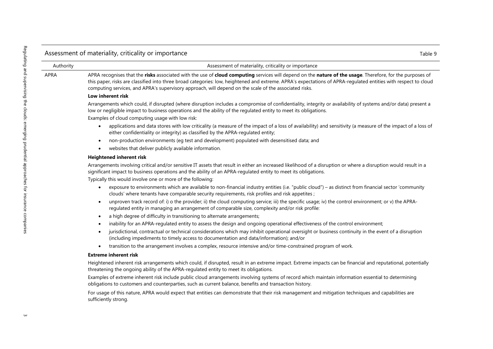| Authority | Assessment of materiality, criticality or importance                                                                                                                                                                                                                                                                                                                                                                                   |
|-----------|----------------------------------------------------------------------------------------------------------------------------------------------------------------------------------------------------------------------------------------------------------------------------------------------------------------------------------------------------------------------------------------------------------------------------------------|
| APRA      | APRA recognises that the risks associated with the use of cloud computing services will depend on the nature of the usage. Therefore, for the purposes of<br>this paper, risks are classified into three broad categories: low, heightened and extreme. APRA's expectations of APRA-regulated entities with respect to cloud<br>computing services, and APRA's supervisory approach, will depend on the scale of the associated risks. |
|           | Low inherent risk                                                                                                                                                                                                                                                                                                                                                                                                                      |
|           | Arrangements which could, if disrupted (where disruption includes a compromise of confidentiality, integrity or availability of systems and/or data) present a<br>low or negligible impact to business operations and the ability of the regulated entity to meet its obligations.                                                                                                                                                     |
|           | Examples of cloud computing usage with low risk:                                                                                                                                                                                                                                                                                                                                                                                       |
|           | applications and data stores with low criticality (a measure of the impact of a loss of availability) and sensitivity (a measure of the impact of a loss of<br>$\bullet$<br>either confidentiality or integrity) as classified by the APRA-regulated entity;                                                                                                                                                                           |
|           | non-production environments (eg test and development) populated with desensitised data; and<br>$\bullet$<br>websites that deliver publicly available information.<br>$\bullet$                                                                                                                                                                                                                                                         |
|           | <b>Heightened inherent risk</b>                                                                                                                                                                                                                                                                                                                                                                                                        |
|           | Arrangements involving critical and/or sensitive IT assets that result in either an increased likelihood of a disruption or where a disruption would result in a<br>significant impact to business operations and the ability of an APRA-regulated entity to meet its obligations.                                                                                                                                                     |
|           | Typically this would involve one or more of the following:                                                                                                                                                                                                                                                                                                                                                                             |
|           | exposure to environments which are available to non-financial industry entities (i.e. "public cloud") - as distinct from financial sector 'community<br>$\bullet$<br>clouds' where tenants have comparable security requirements, risk profiles and risk appetites ;                                                                                                                                                                   |
|           | unproven track record of: i) o the provider; ii) the cloud computing service; iii) the specific usage; iv) the control environment; or v) the APRA-<br>$\bullet$<br>regulated entity in managing an arrangement of comparable size, complexity and/or risk profile:                                                                                                                                                                    |
|           | a high degree of difficulty in transitioning to alternate arrangements;<br>$\bullet$                                                                                                                                                                                                                                                                                                                                                   |
|           | inability for an APRA-regulated entity to assess the design and ongoing operational effectiveness of the control environment;                                                                                                                                                                                                                                                                                                          |
|           | jurisdictional, contractual or technical considerations which may inhibit operational oversight or business continuity in the event of a disruption<br>$\bullet$<br>(including impediments to timely access to documentation and data/information); and/or                                                                                                                                                                             |
|           | transition to the arrangement involves a complex, resource intensive and/or time-constrained program of work.<br>$\bullet$                                                                                                                                                                                                                                                                                                             |
|           | <b>Extreme inherent risk</b>                                                                                                                                                                                                                                                                                                                                                                                                           |
|           | Heightened inherent risk arrangements which could, if disrupted, result in an extreme impact. Extreme impacts can be financial and reputational, potentially<br>threatening the ongoing ability of the APRA-regulated entity to meet its obligations.                                                                                                                                                                                  |
|           | Examples of extreme inherent risk include public cloud arrangements involving systems of record which maintain information essential to determining<br>obligations to customers and counterparties, such as current balance, benefits and transaction history.                                                                                                                                                                         |
|           | For usage of this nature, APRA would expect that entities can demonstrate that their risk management and mitigation techniques and capabilities are<br>sufficiently strong.                                                                                                                                                                                                                                                            |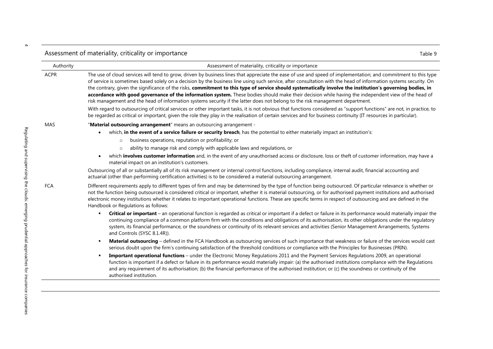### Assessment of materiality, criticality or importance Table 9

authorised institution.

| Authority | Assessment of materiality, criticality or importance                                                                                                                                                                                                                                                                                                                                                                                                                                                                                                                                                                                                                                                                                                                                                                                                                                                                                                                                                                                                                                                                                 |
|-----------|--------------------------------------------------------------------------------------------------------------------------------------------------------------------------------------------------------------------------------------------------------------------------------------------------------------------------------------------------------------------------------------------------------------------------------------------------------------------------------------------------------------------------------------------------------------------------------------------------------------------------------------------------------------------------------------------------------------------------------------------------------------------------------------------------------------------------------------------------------------------------------------------------------------------------------------------------------------------------------------------------------------------------------------------------------------------------------------------------------------------------------------|
| ACPR      | The use of cloud services will tend to grow, driven by business lines that appreciate the ease of use and speed of implementation; and commitment to this type<br>of service is sometimes based solely on a decision by the business line using such service, after consultation with the head of information systems security. On<br>the contrary, given the significance of the risks, commitment to this type of service should systematically involve the institution's governing bodies, in<br>accordance with good governance of the information system. These bodies should make their decision while having the independent view of the head of<br>risk management and the head of information systems security if the latter does not belong to the risk management department.<br>With regard to outsourcing of critical services or other important tasks, it is not obvious that functions considered as "support functions" are not, in practice, to<br>be regarded as critical or important, given the role they play in the realisation of certain services and for business continuity (IT resources in particular). |
| MAS       | "Material outsourcing arrangement" means an outsourcing arrangement -<br>which, in the event of a service failure or security breach, has the potential to either materially impact an institution's:<br>$\bullet$<br>business operations, reputation or profitability; or<br>$\circ$<br>ability to manage risk and comply with applicable laws and regulations, or<br>$\circ$<br>which involves customer information and, in the event of any unauthorised access or disclosure, loss or theft of customer information, may have a<br>material impact on an institution's customers.<br>Outsourcing of all or substantially all of its risk management or internal control functions, including compliance, internal audit, financial accounting and                                                                                                                                                                                                                                                                                                                                                                                |
| FCA       | actuarial (other than performing certification activities) is to be considered a material outsourcing arrangement.<br>Different requirements apply to different types of firm and may be determined by the type of function being outsourced. Of particular relevance is whether or<br>not the function being outsourced is considered critical or important, whether it is material outsourcing, or for authorised payment institutions and authorised<br>electronic money institutions whether it relates to important operational functions. These are specific terms in respect of outsourcing and are defined in the                                                                                                                                                                                                                                                                                                                                                                                                                                                                                                            |
|           | Handbook or Regulations as follows:<br>Critical or important - an operational function is regarded as critical or important if a defect or failure in its performance would materially impair the<br>٠<br>continuing compliance of a common platform firm with the conditions and obligations of its authorisation, its other obligations under the regulatory<br>system, its financial performance, or the soundness or continuity of its relevant services and activities (Senior Management Arrangements, Systems<br>and Controls (SYSC 8.1.4R)).                                                                                                                                                                                                                                                                                                                                                                                                                                                                                                                                                                                 |
|           | Material outsourcing - defined in the FCA Handbook as outsourcing services of such importance that weakness or failure of the services would cast<br>٠<br>serious doubt upon the firm's continuing satisfaction of the threshold conditions or compliance with the Principles for Businesses (PRIN).<br>Important operational functions – under the Electronic Money Regulations 2011 and the Payment Services Regulations 2009, an operational<br>٠<br>function is important if a defect or failure in its performance would materially impair: (a) the authorised institutions compliance with the Regulations                                                                                                                                                                                                                                                                                                                                                                                                                                                                                                                     |

and any requirement of its authorisation; (b) the financial performance of the authorised institution; or (c) the soundness or continuity of the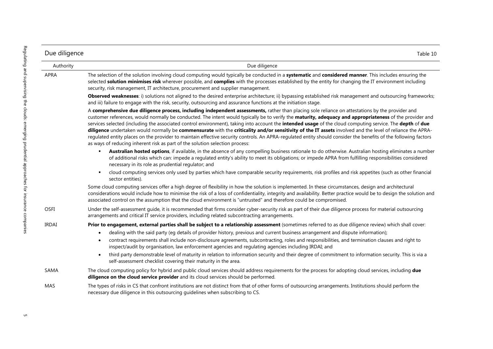| Due diligence | Table 10                                                                                                                                                                                                                                                                                                                                                                                                                                                                                                                                                                                                                                                                                                                                                                                                                                                                                 |
|---------------|------------------------------------------------------------------------------------------------------------------------------------------------------------------------------------------------------------------------------------------------------------------------------------------------------------------------------------------------------------------------------------------------------------------------------------------------------------------------------------------------------------------------------------------------------------------------------------------------------------------------------------------------------------------------------------------------------------------------------------------------------------------------------------------------------------------------------------------------------------------------------------------|
| Authority     | Due diligence                                                                                                                                                                                                                                                                                                                                                                                                                                                                                                                                                                                                                                                                                                                                                                                                                                                                            |
| APRA          | The selection of the solution involving cloud computing would typically be conducted in a systematic and considered manner. This includes ensuring the<br>selected solution minimises risk wherever possible, and complies with the processes established by the entity for changing the IT environment including<br>security, risk management, IT architecture, procurement and supplier management.                                                                                                                                                                                                                                                                                                                                                                                                                                                                                    |
|               | Observed weaknesses: i) solutions not aligned to the desired enterprise architecture; ii) bypassing established risk management and outsourcing frameworks;<br>and iii) failure to engage with the risk, security, outsourcing and assurance functions at the initiation stage.                                                                                                                                                                                                                                                                                                                                                                                                                                                                                                                                                                                                          |
|               | A comprehensive due diligence process, including independent assessments, rather than placing sole reliance on attestations by the provider and<br>customer references, would normally be conducted. The intent would typically be to verify the maturity, adequacy and appropriateness of the provider and<br>services selected (including the associated control environment), taking into account the intended usage of the cloud computing service. The depth of due<br>diligence undertaken would normally be commensurate with the criticality and/or sensitivity of the IT assets involved and the level of reliance the APRA-<br>regulated entity places on the provider to maintain effective security controls. An APRA-regulated entity should consider the benefits of the following factors<br>as ways of reducing inherent risk as part of the solution selection process: |
|               | Australian hosted options, if available, in the absence of any compelling business rationale to do otherwise. Australian hosting eliminates a number<br>of additional risks which can: impede a regulated entity's ability to meet its obligations; or impede APRA from fulfilling responsibilities considered<br>necessary in its role as prudential regulator; and                                                                                                                                                                                                                                                                                                                                                                                                                                                                                                                     |
|               | cloud computing services only used by parties which have comparable security requirements, risk profiles and risk appetites (such as other financial<br>sector entities).                                                                                                                                                                                                                                                                                                                                                                                                                                                                                                                                                                                                                                                                                                                |
|               | Some cloud computing services offer a high degree of flexibility in how the solution is implemented. In these circumstances, design and architectural<br>considerations would include how to minimise the risk of a loss of confidentiality, integrity and availability. Better practice would be to design the solution and<br>associated control on the assumption that the cloud environment is "untrusted" and therefore could be compromised.                                                                                                                                                                                                                                                                                                                                                                                                                                       |
| <b>OSFI</b>   | Under the self-assessment quide, it is recommended that firms consider cyber-security risk as part of their due diligence process for material outsourcing<br>arrangements and critical IT service providers, including related subcontracting arrangements.                                                                                                                                                                                                                                                                                                                                                                                                                                                                                                                                                                                                                             |
| <b>IRDAI</b>  | Prior to engagement, external parties shall be subject to a relationship assessment (sometimes referred to as due diligence review) which shall cover:<br>dealing with the said party (eg details of provider history, previous and current business arrangement and dispute information);<br>contract requirements shall include non-disclosure agreements, subcontracting, roles and responsibilities, and termination clauses and right to<br>inspect/audit by organisation, law enforcement agencies and regulating agencies including IRDAI; and<br>third party demonstrable level of maturity in relation to information security and their degree of commitment to information security. This is via a<br>self-assessment checklist covering their maturity in the area.                                                                                                          |
| SAMA          | The cloud computing policy for hybrid and public cloud services should address requirements for the process for adopting cloud services, including due<br>diligence on the cloud service provider and its cloud services should be performed.                                                                                                                                                                                                                                                                                                                                                                                                                                                                                                                                                                                                                                            |
| MAS           | The types of risks in CS that confront institutions are not distinct from that of other forms of outsourcing arrangements. Institutions should perform the<br>necessary due diligence in this outsourcing guidelines when subscribing to CS.                                                                                                                                                                                                                                                                                                                                                                                                                                                                                                                                                                                                                                             |

 $\cup$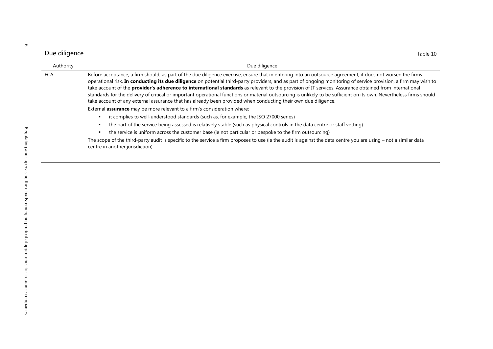| Due diligence | Table 10                                                                                                                                                                                                                                                                                                                                                                                                                                                                                                                                                                                                                                                                                                                                                                                                                                                                                                                                                |
|---------------|---------------------------------------------------------------------------------------------------------------------------------------------------------------------------------------------------------------------------------------------------------------------------------------------------------------------------------------------------------------------------------------------------------------------------------------------------------------------------------------------------------------------------------------------------------------------------------------------------------------------------------------------------------------------------------------------------------------------------------------------------------------------------------------------------------------------------------------------------------------------------------------------------------------------------------------------------------|
| Authority     | Due diligence                                                                                                                                                                                                                                                                                                                                                                                                                                                                                                                                                                                                                                                                                                                                                                                                                                                                                                                                           |
| FCA           | Before acceptance, a firm should, as part of the due diligence exercise, ensure that in entering into an outsource agreement, it does not worsen the firms<br>operational risk. In conducting its due diligence on potential third-party providers, and as part of ongoing monitoring of service provision, a firm may wish to<br>take account of the provider's adherence to international standards as relevant to the provision of IT services. Assurance obtained from international<br>standards for the delivery of critical or important operational functions or material outsourcing is unlikely to be sufficient on its own. Nevertheless firms should<br>take account of any external assurance that has already been provided when conducting their own due diligence.<br>External assurance may be more relevant to a firm's consideration where:<br>it complies to well-understood standards (such as, for example, the ISO 27000 series) |
|               | the part of the service being assessed is relatively stable (such as physical controls in the data centre or staff vetting)                                                                                                                                                                                                                                                                                                                                                                                                                                                                                                                                                                                                                                                                                                                                                                                                                             |
|               | the service is uniform across the customer base (ie not particular or bespoke to the firm outsourcing)<br>The scope of the third-party audit is specific to the service a firm proposes to use (ie the audit is against the data centre you are using – not a similar data                                                                                                                                                                                                                                                                                                                                                                                                                                                                                                                                                                                                                                                                              |
|               | centre in another jurisdiction).                                                                                                                                                                                                                                                                                                                                                                                                                                                                                                                                                                                                                                                                                                                                                                                                                                                                                                                        |

Ļ.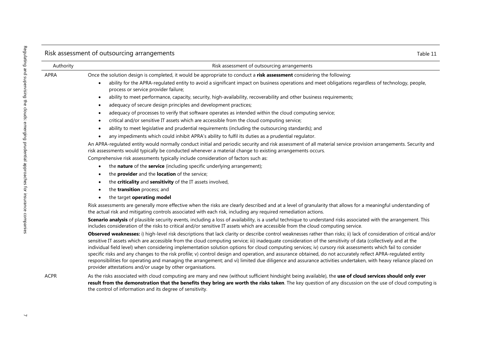|           | Risk assessment of outsourcing arrangements                                                                                                                                                                                                                                                                                                                                                                                                                                                                                                                                                                                                                                                                                                                                                                                                                                                                                                                                                                                                                                                                                                                                                                                                                                                                                                                                                                                                                                                                                                                                                                                             | Table 11 |
|-----------|-----------------------------------------------------------------------------------------------------------------------------------------------------------------------------------------------------------------------------------------------------------------------------------------------------------------------------------------------------------------------------------------------------------------------------------------------------------------------------------------------------------------------------------------------------------------------------------------------------------------------------------------------------------------------------------------------------------------------------------------------------------------------------------------------------------------------------------------------------------------------------------------------------------------------------------------------------------------------------------------------------------------------------------------------------------------------------------------------------------------------------------------------------------------------------------------------------------------------------------------------------------------------------------------------------------------------------------------------------------------------------------------------------------------------------------------------------------------------------------------------------------------------------------------------------------------------------------------------------------------------------------------|----------|
| Authority | Risk assessment of outsourcing arrangements                                                                                                                                                                                                                                                                                                                                                                                                                                                                                                                                                                                                                                                                                                                                                                                                                                                                                                                                                                                                                                                                                                                                                                                                                                                                                                                                                                                                                                                                                                                                                                                             |          |
| APRA      | Once the solution design is completed, it would be appropriate to conduct a risk assessment considering the following:<br>ability for the APRA-regulated entity to avoid a significant impact on business operations and meet obligations regardless of technology, people,<br>process or service provider failure;<br>ability to meet performance, capacity, security, high-availability, recoverability and other business requirements;<br>$\bullet$<br>adequacy of secure design principles and development practices;<br>$\bullet$<br>adequacy of processes to verify that software operates as intended within the cloud computing service;<br>٠<br>critical and/or sensitive IT assets which are accessible from the cloud computing service;<br>$\bullet$<br>ability to meet legislative and prudential requirements (including the outsourcing standards); and<br>٠<br>any impediments which could inhibit APRA's ability to fulfil its duties as a prudential regulator.<br>$\bullet$<br>An APRA-regulated entity would normally conduct initial and periodic security and risk assessment of all material service provision arrangements. Security and<br>risk assessments would typically be conducted whenever a material change to existing arrangements occurs.<br>Comprehensive risk assessments typically include consideration of factors such as:<br>the nature of the service (including specific underlying arrangement);<br>the provider and the location of the service;<br>the criticality and sensitivity of the IT assets involved,<br>the transition process; and<br>$\bullet$<br>the target operating model |          |
|           | Risk assessments are generally more effective when the risks are clearly described and at a level of granularity that allows for a meaningful understanding of<br>the actual risk and mitigating controls associated with each risk, including any required remediation actions.<br>Scenario analysis of plausible security events, including a loss of availability, is a useful technique to understand risks associated with the arrangement. This<br>includes consideration of the risks to critical and/or sensitive IT assets which are accessible from the cloud computing service.<br>Observed weaknesses: i) high-level risk descriptions that lack clarity or describe control weaknesses rather than risks; ii) lack of consideration of critical and/or<br>sensitive IT assets which are accessible from the cloud computing service; iii) inadequate consideration of the sensitivity of data (collectively and at the<br>individual field level) when considering implementation solution options for cloud computing services; iv) cursory risk assessments which fail to consider<br>specific risks and any changes to the risk profile; v) control design and operation, and assurance obtained, do not accurately reflect APRA-regulated entity<br>responsibilities for operating and managing the arrangement; and vi) limited due diligence and assurance activities undertaken, with heavy reliance placed on<br>provider attestations and/or usage by other organisations.                                                                                                                                        |          |
| ACPR      | As the risks associated with cloud computing are many and new (without sufficient hindsight being available), the use of cloud services should only ever<br>result from the demonstration that the benefits they bring are worth the risks taken. The key question of any discussion on the use of cloud computing is<br>the control of information and its degree of sensitivity.                                                                                                                                                                                                                                                                                                                                                                                                                                                                                                                                                                                                                                                                                                                                                                                                                                                                                                                                                                                                                                                                                                                                                                                                                                                      |          |

 $\bar{\mathcal{A}}$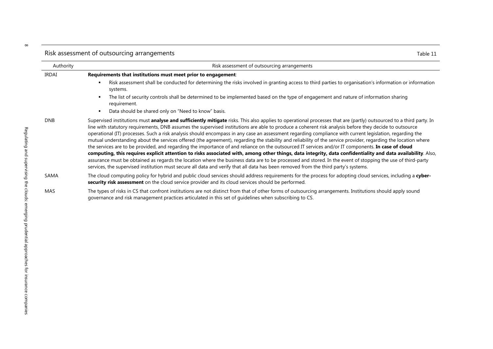| Authority    | Risk assessment of outsourcing arrangements                                                                                                                                                                                                                                                                                                                                                                                                                                                                                                                                                                                                                                                                                                                                                                                                                                                                                                                                                                                                                                                                                                                                                                                                                                          |
|--------------|--------------------------------------------------------------------------------------------------------------------------------------------------------------------------------------------------------------------------------------------------------------------------------------------------------------------------------------------------------------------------------------------------------------------------------------------------------------------------------------------------------------------------------------------------------------------------------------------------------------------------------------------------------------------------------------------------------------------------------------------------------------------------------------------------------------------------------------------------------------------------------------------------------------------------------------------------------------------------------------------------------------------------------------------------------------------------------------------------------------------------------------------------------------------------------------------------------------------------------------------------------------------------------------|
| <b>IRDAI</b> | Requirements that institutions must meet prior to engagement:                                                                                                                                                                                                                                                                                                                                                                                                                                                                                                                                                                                                                                                                                                                                                                                                                                                                                                                                                                                                                                                                                                                                                                                                                        |
|              | Risk assessment shall be conducted for determining the risks involved in granting access to third parties to organisation's information or information<br>systems.                                                                                                                                                                                                                                                                                                                                                                                                                                                                                                                                                                                                                                                                                                                                                                                                                                                                                                                                                                                                                                                                                                                   |
|              | The list of security controls shall be determined to be implemented based on the type of engagement and nature of information sharing<br>requirement.                                                                                                                                                                                                                                                                                                                                                                                                                                                                                                                                                                                                                                                                                                                                                                                                                                                                                                                                                                                                                                                                                                                                |
|              | Data should be shared only on "Need to know" basis.                                                                                                                                                                                                                                                                                                                                                                                                                                                                                                                                                                                                                                                                                                                                                                                                                                                                                                                                                                                                                                                                                                                                                                                                                                  |
| <b>DNB</b>   | Supervised institutions must analyse and sufficiently mitigate risks. This also applies to operational processes that are (partly) outsourced to a third party. In<br>line with statutory requirements, DNB assumes the supervised institutions are able to produce a coherent risk analysis before they decide to outsource<br>operational (IT) processes. Such a risk analysis should encompass in any case an assessment regarding compliance with current legislation, regarding the<br>mutual understanding about the services offered (the agreement), regarding the stability and reliability of the service provider, regarding the location where<br>the services are to be provided, and regarding the importance of and reliance on the outsourced IT services and/or IT components. In case of cloud<br>computing, this requires explicit attention to risks associated with, among other things, data integrity, data confidentiality and data availability. Also,<br>assurance must be obtained as regards the location where the business data are to be processed and stored. In the event of stopping the use of third-party<br>services, the supervised institution must secure all data and verify that all data has been removed from the third party's systems. |
| SAMA         | The cloud computing policy for hybrid and public cloud services should address requirements for the process for adopting cloud services, including a cyber-<br>security risk assessment on the cloud service provider and its cloud services should be performed.                                                                                                                                                                                                                                                                                                                                                                                                                                                                                                                                                                                                                                                                                                                                                                                                                                                                                                                                                                                                                    |
| MAS          | The types of risks in CS that confront institutions are not distinct from that of other forms of outsourcing arrangements. Institutions should apply sound<br>governance and risk management practices articulated in this set of quidelines when subscribing to CS.                                                                                                                                                                                                                                                                                                                                                                                                                                                                                                                                                                                                                                                                                                                                                                                                                                                                                                                                                                                                                 |

Risk assessment of outsourcing arrangements Table 11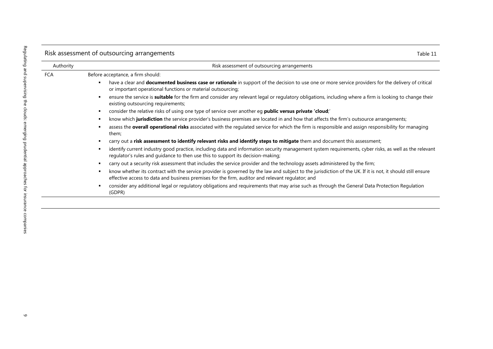|           | Risk assessment of outsourcing arrangements<br>Table 11                                                                                                                                                                                                             |
|-----------|---------------------------------------------------------------------------------------------------------------------------------------------------------------------------------------------------------------------------------------------------------------------|
| Authority | Risk assessment of outsourcing arrangements                                                                                                                                                                                                                         |
| FCA       | Before acceptance, a firm should:                                                                                                                                                                                                                                   |
|           | have a clear and <b>documented business case or rationale</b> in support of the decision to use one or more service providers for the delivery of critical<br>х<br>or important operational functions or material outsourcing;                                      |
|           | ensure the service is suitable for the firm and consider any relevant legal or regulatory obligations, including where a firm is looking to change their<br>п<br>existing outsourcing requirements;                                                                 |
|           | consider the relative risks of using one type of service over another eg <b>public versus private 'cloud</b> ;'<br>п                                                                                                                                                |
|           | know which jurisdiction the service provider's business premises are located in and how that affects the firm's outsource arrangements;<br>п                                                                                                                        |
|           | assess the overall operational risks associated with the regulated service for which the firm is responsible and assign responsibility for managing<br>п<br>them;                                                                                                   |
|           | carry out a risk assessment to identify relevant risks and identify steps to mitigate them and document this assessment;<br>п                                                                                                                                       |
|           | identify current industry good practice, including data and information security management system requirements, cyber risks, as well as the relevant<br>п<br>regulator's rules and guidance to then use this to support its decision-making;                       |
|           | carry out a security risk assessment that includes the service provider and the technology assets administered by the firm;<br>п                                                                                                                                    |
|           | know whether its contract with the service provider is governed by the law and subject to the jurisdiction of the UK. If it is not, it should still ensure<br>٠<br>effective access to data and business premises for the firm, auditor and relevant regulator; and |
|           | consider any additional legal or regulatory obligations and requirements that may arise such as through the General Data Protection Regulation<br>л<br>(GDPR)                                                                                                       |
|           |                                                                                                                                                                                                                                                                     |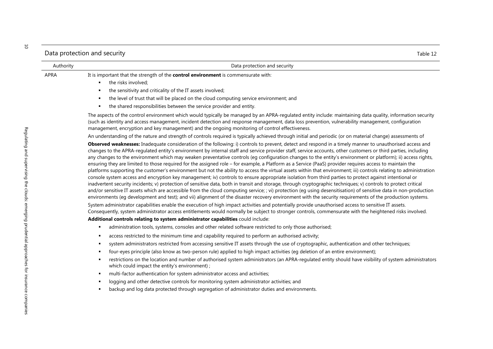|             | Data protection and security                                                                                                                                                                                                                                                                                                                                                                                                                                                                                                                                                                                                                                                                                                                                                                                                                                                                                                                                                                                                                                                                                                                                                                                                                                                                                                                                                                                                                                                                                                                                                                                                                                                                                                                                                                                                                                                                                                                                                                                                                                     | Table 12 |
|-------------|------------------------------------------------------------------------------------------------------------------------------------------------------------------------------------------------------------------------------------------------------------------------------------------------------------------------------------------------------------------------------------------------------------------------------------------------------------------------------------------------------------------------------------------------------------------------------------------------------------------------------------------------------------------------------------------------------------------------------------------------------------------------------------------------------------------------------------------------------------------------------------------------------------------------------------------------------------------------------------------------------------------------------------------------------------------------------------------------------------------------------------------------------------------------------------------------------------------------------------------------------------------------------------------------------------------------------------------------------------------------------------------------------------------------------------------------------------------------------------------------------------------------------------------------------------------------------------------------------------------------------------------------------------------------------------------------------------------------------------------------------------------------------------------------------------------------------------------------------------------------------------------------------------------------------------------------------------------------------------------------------------------------------------------------------------------|----------|
| Authority   | Data protection and security                                                                                                                                                                                                                                                                                                                                                                                                                                                                                                                                                                                                                                                                                                                                                                                                                                                                                                                                                                                                                                                                                                                                                                                                                                                                                                                                                                                                                                                                                                                                                                                                                                                                                                                                                                                                                                                                                                                                                                                                                                     |          |
| <b>APRA</b> | It is important that the strength of the <b>control environment</b> is commensurate with:<br>the risks involved;<br>٠<br>the sensitivity and criticality of the IT assets involved;<br>$\blacksquare$<br>the level of trust that will be placed on the cloud computing service environment; and<br>the shared responsibilities between the service provider and entity.<br>The aspects of the control environment which would typically be managed by an APRA-regulated entity include: maintaining data quality, information security                                                                                                                                                                                                                                                                                                                                                                                                                                                                                                                                                                                                                                                                                                                                                                                                                                                                                                                                                                                                                                                                                                                                                                                                                                                                                                                                                                                                                                                                                                                           |          |
|             | (such as identity and access management, incident detection and response management, data loss prevention, vulnerability management, configuration<br>management, encryption and key management) and the ongoing monitoring of control effectiveness.                                                                                                                                                                                                                                                                                                                                                                                                                                                                                                                                                                                                                                                                                                                                                                                                                                                                                                                                                                                                                                                                                                                                                                                                                                                                                                                                                                                                                                                                                                                                                                                                                                                                                                                                                                                                            |          |
|             | An understanding of the nature and strength of controls required is typically achieved through initial and periodic (or on material change) assessments of<br>Observed weaknesses: Inadequate consideration of the following: i) controls to prevent, detect and respond in a timely manner to unauthorised access and<br>changes to the APRA-regulated entity's environment by internal staff and service provider staff, service accounts, other customers or third parties, including<br>any changes to the environment which may weaken preventative controls (eg configuration changes to the entity's environment or platform); ii) access rights,<br>ensuring they are limited to those required for the assigned role - for example, a Platform as a Service (PaaS) provider requires access to maintain the<br>platforms supporting the customer's environment but not the ability to access the virtual assets within that environment; iii) controls relating to administration<br>console system access and encryption key management; iv) controls to ensure appropriate isolation from third parties to protect against intentional or<br>inadvertent security incidents; v) protection of sensitive data, both in transit and storage, through cryptographic techniques; v) controls to protect critical<br>and/or sensitive IT assets which are accessible from the cloud computing service; ; vi) protection (eg using desensitisation) of sensitive data in non-production<br>environments (eg development and test); and vii) alignment of the disaster recovery environment with the security requirements of the production systems.<br>System administrator capabilities enable the execution of high impact activities and potentially provide unauthorised access to sensitive IT assets.<br>Consequently, system administrator access entitlements would normally be subject to stronger controls, commensurate with the heightened risks involved.<br>Additional controls relating to system administrator capabilities could include: |          |
|             | administration tools, systems, consoles and other related software restricted to only those authorised;<br>٠<br>access restricted to the minimum time and capability required to perform an authorised activity;<br>system administrators restricted from accessing sensitive IT assets through the use of cryptographic, authentication and other techniques;<br>four-eyes principle (also know as two-person rule) applied to high impact activities (eg deletion of an entire environment);<br>restrictions on the location and number of authorised system administrators (an APRA-regulated entity should have visibility of system administrators<br>which could impact the entity's environment);<br>multi-factor authentication for system administrator access and activities;<br>٠<br>logging and other detective controls for monitoring system administrator activities; and<br>backup and log data protected through segregation of administrator duties and environments.                                                                                                                                                                                                                                                                                                                                                                                                                                                                                                                                                                                                                                                                                                                                                                                                                                                                                                                                                                                                                                                                          |          |
|             |                                                                                                                                                                                                                                                                                                                                                                                                                                                                                                                                                                                                                                                                                                                                                                                                                                                                                                                                                                                                                                                                                                                                                                                                                                                                                                                                                                                                                                                                                                                                                                                                                                                                                                                                                                                                                                                                                                                                                                                                                                                                  |          |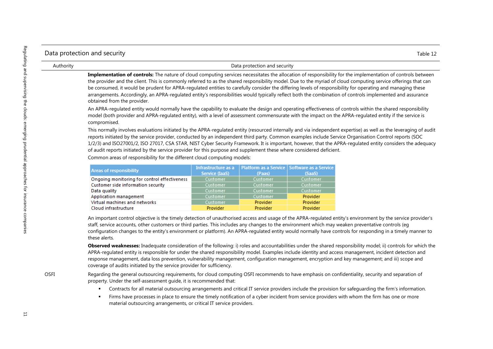| Data protection and security | Table 12 |
|------------------------------|----------|

| Authority | Data protection and security                                                                                                                                                                                                                                                                                                                                                                                                                                                                                                                                                                                                                                                           |
|-----------|----------------------------------------------------------------------------------------------------------------------------------------------------------------------------------------------------------------------------------------------------------------------------------------------------------------------------------------------------------------------------------------------------------------------------------------------------------------------------------------------------------------------------------------------------------------------------------------------------------------------------------------------------------------------------------------|
|           | Implementation of controls: The nature of cloud computing services necessitates the allocation of responsibility for the implementation of controls between<br>the provider and the client. This is commonly referred to as the shared responsibility model. Due to the myriad of cloud computing service offerings that can<br>be consumed, it would be prudent for APRA-regulated entities to carefully consider the differing levels of responsibility for operating and managing these<br>arrangements. Accordingly, an APRA-regulated entity's responsibilities would typically reflect both the combination of controls implemented and assurance<br>obtained from the provider. |
|           | An APRA-regulated entity would normally have the capability to evaluate the design and operating effectiveness of controls within the shared responsibility<br>model (both provider and APRA-regulated entity), with a level of assessment commensurate with the impact on the APRA-regulated entity if the service is<br>compromised.                                                                                                                                                                                                                                                                                                                                                 |
|           | This normally involves evaluations initiated by the APRA-regulated entity (resourced internally and via independent expertise) as well as the leveraging of audit<br>reports initiated by the service provider, conducted by an independent third party. Common examples include Service Organisation Control reports (SOC<br>1/2/3) and ISO27001/2, ISO 27017, CSA STAR, NIST Cyber Security Framework. It is important, however, that the APRA-regulated entity considers the adequacy<br>of audit reports initiated by the service provider for this purpose and supplement these where considered deficient.                                                                       |

Common areas of responsibility for the different cloud computing models:

| <b>Areas of responsibility</b>               | Infrastructure as a<br>Service (IaaS) | (Paas)   | Platform as a Service   Software as a Service  <br>(SaaS) |
|----------------------------------------------|---------------------------------------|----------|-----------------------------------------------------------|
| Ongoing monitoring for control effectiveness | Customer                              | Customer | Customer                                                  |
| Customer side information security           | Customer                              | Customer | Customer                                                  |
| Data quality                                 | Customer                              | Customer | Customer                                                  |
| Application management                       | Customer                              | Customer | Provider                                                  |
| Virtual machines and networks                | Customer                              | Provider | Provider                                                  |
| Cloud infrastructure                         | Provider                              | Provider | Provider                                                  |

An important control objective is the timely detection of unauthorised access and usage of the APRA-regulated entity's environment by the service provider's staff, service accounts, other customers or third parties. This includes any changes to the environment which may weaken preventative controls (eg configuration changes to the entity's environment or platform). An APRA-regulated entity would normally have controls for responding in a timely manner to these alerts.

**Observed weaknesses:** Inadequate consideration of the following: i) roles and accountabilities under the shared responsibility model; ii) controls for which the APRA-regulated entity is responsible for under the shared responsibility model. Examples include identity and access management, incident detection and response management, data loss prevention, vulnerability management, configuration management, encryption and key management; and iii) scope and coverage of audits initiated by the service provider for sufficiency.

OSFI Regarding the general outsourcing requirements, for cloud computing OSFI recommends to have emphasis on confidentiality, security and separation of property. Under the self-assessment guide, it is recommended that:

- Contracts for all material outsourcing arrangements and critical IT service providers include the provision for safeguarding the firm's information.
- Firms have processes in place to ensure the timely notification of a cyber incident from service providers with whom the firm has one or more material outsourcing arrangements, or critical IT service providers.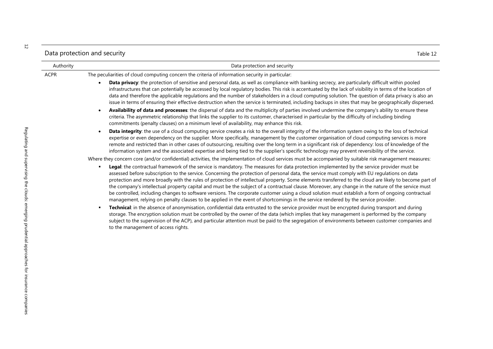Data protection and security Table 12

| Authority | Data protection and security                                                                                                                                                                                                                                                                                                                                                                                                                                                                                                                                                                                                                                                                                                                                                                                                                                                                                                                                                                                                                                                                                                                                                                                                                                                                                                                                                                                       |
|-----------|--------------------------------------------------------------------------------------------------------------------------------------------------------------------------------------------------------------------------------------------------------------------------------------------------------------------------------------------------------------------------------------------------------------------------------------------------------------------------------------------------------------------------------------------------------------------------------------------------------------------------------------------------------------------------------------------------------------------------------------------------------------------------------------------------------------------------------------------------------------------------------------------------------------------------------------------------------------------------------------------------------------------------------------------------------------------------------------------------------------------------------------------------------------------------------------------------------------------------------------------------------------------------------------------------------------------------------------------------------------------------------------------------------------------|
| ACPR      | The peculiarities of cloud computing concern the criteria of information security in particular:                                                                                                                                                                                                                                                                                                                                                                                                                                                                                                                                                                                                                                                                                                                                                                                                                                                                                                                                                                                                                                                                                                                                                                                                                                                                                                                   |
|           | Data privacy: the protection of sensitive and personal data, as well as compliance with banking secrecy, are particularly difficult within pooled<br>infrastructures that can potentially be accessed by local regulatory bodies. This risk is accentuated by the lack of visibility in terms of the location of<br>data and therefore the applicable regulations and the number of stakeholders in a cloud computing solution. The question of data privacy is also an<br>issue in terms of ensuring their effective destruction when the service is terminated, including backups in sites that may be geographically dispersed.                                                                                                                                                                                                                                                                                                                                                                                                                                                                                                                                                                                                                                                                                                                                                                                 |
|           | Availability of data and processes: the dispersal of data and the multiplicity of parties involved undermine the company's ability to ensure these<br>criteria. The asymmetric relationship that links the supplier to its customer, characterised in particular by the difficulty of including binding<br>commitments (penalty clauses) on a minimum level of availability, may enhance this risk.                                                                                                                                                                                                                                                                                                                                                                                                                                                                                                                                                                                                                                                                                                                                                                                                                                                                                                                                                                                                                |
|           | Data integrity: the use of a cloud computing service creates a risk to the overall integrity of the information system owing to the loss of technical<br>expertise or even dependency on the supplier. More specifically, management by the customer organisation of cloud computing services is more<br>remote and restricted than in other cases of outsourcing, resulting over the long term in a significant risk of dependency: loss of knowledge of the<br>information system and the associated expertise and being tied to the supplier's specific technology may prevent reversibility of the service.                                                                                                                                                                                                                                                                                                                                                                                                                                                                                                                                                                                                                                                                                                                                                                                                    |
|           | Where they concern core (and/or confidential) activities, the implementation of cloud services must be accompanied by suitable risk management measures:                                                                                                                                                                                                                                                                                                                                                                                                                                                                                                                                                                                                                                                                                                                                                                                                                                                                                                                                                                                                                                                                                                                                                                                                                                                           |
|           | Legal: the contractual framework of the service is mandatory. The measures for data protection implemented by the service provider must be<br>$\blacksquare$<br>assessed before subscription to the service. Concerning the protection of personal data, the service must comply with EU regulations on data<br>protection and more broadly with the rules of protection of intellectual property. Some elements transferred to the cloud are likely to become part of<br>the company's intellectual property capital and must be the subject of a contractual clause. Moreover, any change in the nature of the service must<br>be controlled, including changes to software versions. The corporate customer using a cloud solution must establish a form of ongoing contractual<br>management, relying on penalty clauses to be applied in the event of shortcomings in the service rendered by the service provider.<br>Technical: in the absence of anonymisation, confidential data entrusted to the service provider must be encrypted during transport and during<br>storage. The encryption solution must be controlled by the owner of the data (which implies that key management is performed by the company<br>subject to the supervision of the ACP), and particular attention must be paid to the segregation of environments between customer companies and<br>to the management of access rights. |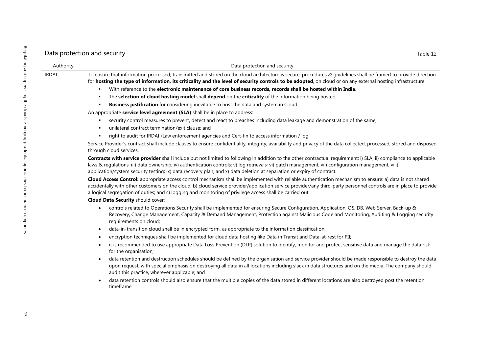### Data protection and security Table 12

| Authority | Data protection and security                                                                                                                                                                                                                                                                                                                                                                                                                       |
|-----------|----------------------------------------------------------------------------------------------------------------------------------------------------------------------------------------------------------------------------------------------------------------------------------------------------------------------------------------------------------------------------------------------------------------------------------------------------|
| IRDAI     | To ensure that information processed, transmitted and stored on the cloud architecture is secure, procedures & quidelines shall be framed to provide direction<br>for hosting the type of information, its criticality and the level of security controls to be adopted, on cloud or on any external hosting infrastructure:                                                                                                                       |
|           | With reference to the electronic maintenance of core business records, records shall be hosted within India.<br>$\blacksquare$                                                                                                                                                                                                                                                                                                                     |
|           | The selection of cloud hosting model shall depend on the criticality of the information being hosted.<br>٠.                                                                                                                                                                                                                                                                                                                                        |
|           | Business justification for considering inevitable to host the data and system in Cloud.<br>٠                                                                                                                                                                                                                                                                                                                                                       |
|           | An appropriate service level agreement (SLA) shall be in place to address:                                                                                                                                                                                                                                                                                                                                                                         |
|           | security control measures to prevent, detect and react to breaches including data leakage and demonstration of the same;<br>٠<br>unilateral contract termination/exit clause; and<br>٠                                                                                                                                                                                                                                                             |
|           | right to audit for IRDAI /Law enforcement agencies and Cert-fin to access information / log.<br>٠                                                                                                                                                                                                                                                                                                                                                  |
|           | Service Provider's contract shall include clauses to ensure confidentiality, integrity, availability and privacy of the data collected, processed, stored and disposed<br>through cloud services.                                                                                                                                                                                                                                                  |
|           | Contracts with service provider shall include but not limited to following in addition to the other contractual requirement: i) SLA; ii) compliance to applicable<br>laws & regulations; iii) data ownership; iv) authentication controls; v) log retrievals; vi) patch management; vii) configuration management; viii)<br>application/system security testing; ix) data recovery plan; and x) data deletion at separation or expiry of contract. |
|           | Cloud Access Control: appropriate access control mechanism shall be implemented with reliable authentication mechanism to ensure: a) data is not shared<br>accidentally with other customers on the cloud; b) cloud service provider/application service provider/any third-party personnel controls are in place to provide<br>a logical segregation of duties; and c) logging and monitoring of privilege access shall be carried out.           |
|           | <b>Cloud Data Security should cover:</b>                                                                                                                                                                                                                                                                                                                                                                                                           |
|           | controls related to Operations Security shall be implemented for ensuring Secure Configuration, Application, OS, DB, Web Server, Back-up &<br>٠<br>Recovery, Change Management, Capacity & Demand Management, Protection against Malicious Code and Monitoring, Auditing & Logging security<br>requirements on cloud;                                                                                                                              |
|           | data-in-transition cloud shall be in encrypted form, as appropriate to the information classification;<br>٠                                                                                                                                                                                                                                                                                                                                        |
|           | encryption techniques shall be implemented for cloud data hosting like Data in Transit and Data-at-rest for PII;                                                                                                                                                                                                                                                                                                                                   |

- it is recommended to use appropriate Data Loss Prevention (DLP) solution to identify, monitor and protect sensitive data and manage the data risk for the organisation;
- data retention and destruction schedules should be defined by the organisation and service provider should be made responsible to destroy the data upon request, with special emphasis on destroying all data in all locations including slack in data structures and on the media. The company should audit this practice, wherever applicable; and
- data retention controls should also ensure that the multiple copies of the data stored in different locations are also destroyed post the retention timeframe.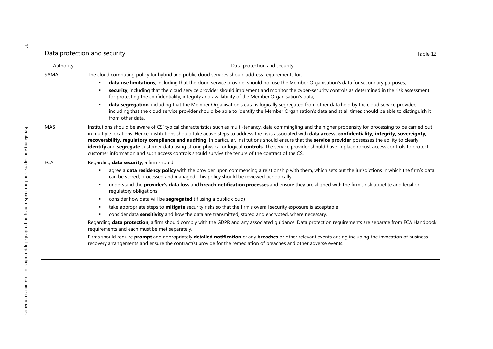| Data protection and security |  | Table 12 |
|------------------------------|--|----------|
|------------------------------|--|----------|

| Authority  | Data protection and security                                                                                                                                                                                                                                                                                                                                                                                                                                                                                                                                                                                                                                                                                                                                      |
|------------|-------------------------------------------------------------------------------------------------------------------------------------------------------------------------------------------------------------------------------------------------------------------------------------------------------------------------------------------------------------------------------------------------------------------------------------------------------------------------------------------------------------------------------------------------------------------------------------------------------------------------------------------------------------------------------------------------------------------------------------------------------------------|
| SAMA       | The cloud computing policy for hybrid and public cloud services should address requirements for:                                                                                                                                                                                                                                                                                                                                                                                                                                                                                                                                                                                                                                                                  |
|            | data use limitations, including that the cloud service provider should not use the Member Organisation's data for secondary purposes;                                                                                                                                                                                                                                                                                                                                                                                                                                                                                                                                                                                                                             |
|            | security, including that the cloud service provider should implement and monitor the cyber-security controls as determined in the risk assessment<br>for protecting the confidentiality, integrity and availability of the Member Organisation's data;                                                                                                                                                                                                                                                                                                                                                                                                                                                                                                            |
|            | data segregation, including that the Member Organisation's data is logically segregated from other data held by the cloud service provider,<br>including that the cloud service provider should be able to identify the Member Organisation's data and at all times should be able to distinguish it<br>from other data.                                                                                                                                                                                                                                                                                                                                                                                                                                          |
| MAS        | Institutions should be aware of CS' typical characteristics such as multi-tenancy, data commingling and the higher propensity for processing to be carried out<br>in multiple locations. Hence, institutions should take active steps to address the risks associated with data access, confidentiality, integrity, sovereignty,<br>recoverability, regulatory compliance and auditing. In particular, institutions should ensure that the service provider possesses the ability to clearly<br>identify and segregate customer data using strong physical or logical controls. The service provider should have in place robust access controls to protect<br>customer information and such access controls should survive the tenure of the contract of the CS. |
| <b>FCA</b> | Regarding data security, a firm should:                                                                                                                                                                                                                                                                                                                                                                                                                                                                                                                                                                                                                                                                                                                           |
|            | agree a data residency policy with the provider upon commencing a relationship with them, which sets out the jurisdictions in which the firm's data<br>can be stored, processed and managed. This policy should be reviewed periodically.                                                                                                                                                                                                                                                                                                                                                                                                                                                                                                                         |
|            | understand the <b>provider's data loss</b> and <b>breach notification processes</b> and ensure they are aligned with the firm's risk appetite and legal or<br>regulatory obligations                                                                                                                                                                                                                                                                                                                                                                                                                                                                                                                                                                              |
|            | consider how data will be <b>segregated</b> (if using a public cloud)<br>٠                                                                                                                                                                                                                                                                                                                                                                                                                                                                                                                                                                                                                                                                                        |
|            | take appropriate steps to mitigate security risks so that the firm's overall security exposure is acceptable<br>٠                                                                                                                                                                                                                                                                                                                                                                                                                                                                                                                                                                                                                                                 |
|            | consider data sensitivity and how the data are transmitted, stored and encrypted, where necessary.                                                                                                                                                                                                                                                                                                                                                                                                                                                                                                                                                                                                                                                                |
|            | Regarding data protection, a firm should comply with the GDPR and any associated guidance. Data protection requirements are separate from FCA Handbook<br>requirements and each must be met separately.                                                                                                                                                                                                                                                                                                                                                                                                                                                                                                                                                           |
|            | Firms should require prompt and appropriately detailed notification of any breaches or other relevant events arising including the invocation of business<br>recovery arrangements and ensure the contract(s) provide for the remediation of breaches and other adverse events.                                                                                                                                                                                                                                                                                                                                                                                                                                                                                   |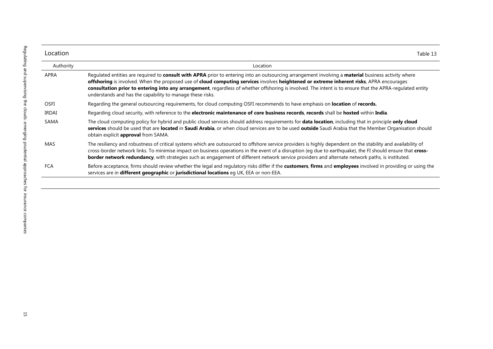| Location     | Table 13                                                                                                                                                                                                                                                                                                                                                                                                                                                                                                                  |
|--------------|---------------------------------------------------------------------------------------------------------------------------------------------------------------------------------------------------------------------------------------------------------------------------------------------------------------------------------------------------------------------------------------------------------------------------------------------------------------------------------------------------------------------------|
| Authority    | Location                                                                                                                                                                                                                                                                                                                                                                                                                                                                                                                  |
| APRA         | Regulated entities are required to consult with APRA prior to entering into an outsourcing arrangement involving a material business activity where<br>offshoring is involved. When the proposed use of cloud computing services involves heightened or extreme inherent risks, APRA encourages<br>consultation prior to entering into any arrangement, regardless of whether offshoring is involved. The intent is to ensure that the APRA-regulated entity<br>understands and has the capability to manage these risks. |
| <b>OSFI</b>  | Regarding the general outsourcing requirements, for cloud computing OSFI recommends to have emphasis on location of records.                                                                                                                                                                                                                                                                                                                                                                                              |
| <b>IRDAI</b> | Regarding cloud security, with reference to the electronic maintenance of core business records, records shall be hosted within India.                                                                                                                                                                                                                                                                                                                                                                                    |
| <b>SAMA</b>  | The cloud computing policy for hybrid and public cloud services should address requirements for data location, including that in principle only cloud<br>services should be used that are located in Saudi Arabia, or when cloud services are to be used outside Saudi Arabia that the Member Organisation should<br>obtain explicit approval from SAMA.                                                                                                                                                                  |
| MAS          | The resiliency and robustness of critical systems which are outsourced to offshore service providers is highly dependent on the stability and availability of<br>cross-border network links. To minimise impact on business operations in the event of a disruption (eg due to earthquake), the FI should ensure that cross-<br>border network redundancy, with strategies such as engagement of different network service providers and alternate network paths, is instituted.                                          |
| FCA          | Before acceptance, firms should review whether the legal and regulatory risks differ if the customers, firms and employees involved in providing or using the<br>services are in different geographic or jurisdictional locations eq UK, EEA or non-EEA.                                                                                                                                                                                                                                                                  |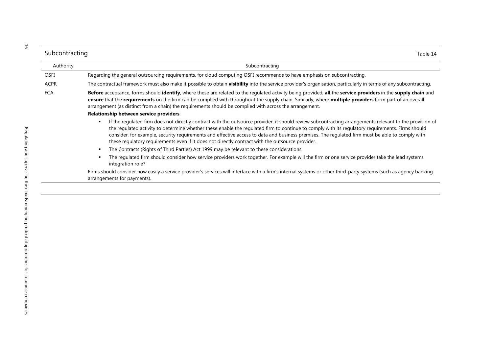| Subcontracting | Table 14                                                                                                                                                                                                                                                                                                                                                                                                                                                                                                                                                           |
|----------------|--------------------------------------------------------------------------------------------------------------------------------------------------------------------------------------------------------------------------------------------------------------------------------------------------------------------------------------------------------------------------------------------------------------------------------------------------------------------------------------------------------------------------------------------------------------------|
| Authority      | Subcontracting                                                                                                                                                                                                                                                                                                                                                                                                                                                                                                                                                     |
| <b>OSFI</b>    | Regarding the general outsourcing requirements, for cloud computing OSFI recommends to have emphasis on subcontracting.                                                                                                                                                                                                                                                                                                                                                                                                                                            |
| <b>ACPR</b>    | The contractual framework must also make it possible to obtain <b>visibility</b> into the service provider's organisation, particularly in terms of any subcontracting.                                                                                                                                                                                                                                                                                                                                                                                            |
| <b>FCA</b>     | Before acceptance, forms should identify, where these are related to the regulated activity being provided, all the service providers in the supply chain and<br>ensure that the requirements on the firm can be complied with throughout the supply chain. Similarly, where multiple providers form part of an overall<br>arrangement (as distinct from a chain) the requirements should be complied with across the arrangement.                                                                                                                                 |
|                | Relationship between service providers:                                                                                                                                                                                                                                                                                                                                                                                                                                                                                                                            |
|                | If the regulated firm does not directly contract with the outsource provider, it should review subcontracting arrangements relevant to the provision of<br>the regulated activity to determine whether these enable the regulated firm to continue to comply with its regulatory requirements. Firms should<br>consider, for example, security requirements and effective access to data and business premises. The regulated firm must be able to comply with<br>these regulatory requirements even if it does not directly contract with the outsource provider. |
|                | The Contracts (Rights of Third Parties) Act 1999 may be relevant to these considerations.                                                                                                                                                                                                                                                                                                                                                                                                                                                                          |
|                | The regulated firm should consider how service providers work together. For example will the firm or one service provider take the lead systems<br>integration role?                                                                                                                                                                                                                                                                                                                                                                                               |
|                | Firms should consider how easily a service provider's services will interface with a firm's internal systems or other third-party systems (such as agency banking<br>arrangements for payments).                                                                                                                                                                                                                                                                                                                                                                   |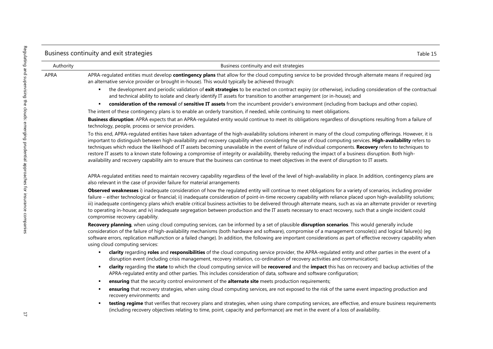### Business continuity and exit strategies Table 15

Authority Business continuity and exit strategies

APRA MERA-regulated entities must develop **contingency plans** that allow for the cloud computing service to be provided through alternate means if required (eg an alternative service provider or brought in-house). This would typically be achieved through:

- the development and periodic validation of **exit strategies** to be enacted on contract expiry (or otherwise), including consideration of the contractual and technical ability to isolate and clearly identify IT assets for transition to another arrangement (or in-house); and
- **consideration of the removal** of **sensitive IT assets** from the incumbent provider's environment (including from backups and other copies).

The intent of these contingency plans is to enable an orderly transition, if needed, while continuing to meet obligations.

**Business disruption**: APRA expects that an APRA-regulated entity would continue to meet its obligations regardless of disruptions resulting from a failure of technology, people, process or service providers.

To this end, APRA-regulated entities have taken advantage of the high-availability solutions inherent in many of the cloud computing offerings. However, it is important to distinguish between high-availability and recovery capability when considering the use of cloud computing services. **High-availability** refers to techniques which reduce the likelihood of IT assets becoming unavailable in the event of failure of individual components. **Recovery** refers to techniques to restore IT assets to a known state following a compromise of integrity or availability, thereby reducing the impact of a business disruption. Both highavailability and recovery capability aim to ensure that the business can continue to meet objectives in the event of disruption to IT assets.

APRA-regulated entities need to maintain recovery capability regardless of the level of the level of high-availability in place. In addition, contingency plans are also relevant in the case of provider failure for material arrangements

**Observed weaknesses** i) inadequate consideration of how the regulated entity will continue to meet obligations for a variety of scenarios, including provider failure – either technological or financial; ii) inadequate consideration of point-in-time recovery capability with reliance placed upon high-availability solutions; iii) inadequate contingency plans which enable critical business activities to be delivered through alternate means, such as via an alternate provider or reverting to operating in-house; and iv) inadequate segregation between production and the IT assets necessary to enact recovery, such that a single incident could compromise recovery capability.

**Recovery planning**, when using cloud computing services, can be informed by a set of plausible **disruption scenarios**. This would generally include consideration of the failure of high-availability mechanisms (both hardware and software), compromise of a management console(s) and logical failure(s) (eg software errors, replication malfunction or a failed change). In addition, the following are important considerations as part of effective recovery capability when using cloud computing services:

- **clarity** regarding **roles** and **responsibilities** of the cloud computing service provider, the APRA-regulated entity and other parties in the event of a disruption event (including crisis management, recovery initiation, co-ordination of recovery activities and communication);
- **clarity** regarding the **state** to which the cloud computing service will be **recovered** and the **impact** this has on recovery and backup activities of the APRA-regulated entity and other parties. This includes consideration of data, software and software configuration;
- **ensuring** that the security control environment of the **alternate site** meets production requirements;
- **ensuring** that recovery strategies, when using cloud computing services, are not exposed to the risk of the same event impacting production and recovery environments: and
- **testing regime** that verifies that recovery plans and strategies, when using share computing services, are effective, and ensure business requirements (including recovery objectives relating to time, point, capacity and performance) are met in the event of a loss of availability.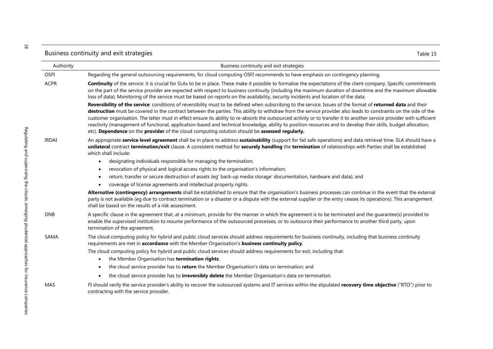|              | Business continuity and exit strategies<br>Table 15                                                                                                                                                                                                                                                                                                                                                                                                                                                                                                                                                                                                                                                                                                                             |
|--------------|---------------------------------------------------------------------------------------------------------------------------------------------------------------------------------------------------------------------------------------------------------------------------------------------------------------------------------------------------------------------------------------------------------------------------------------------------------------------------------------------------------------------------------------------------------------------------------------------------------------------------------------------------------------------------------------------------------------------------------------------------------------------------------|
| Authority    | Business continuity and exit strategies                                                                                                                                                                                                                                                                                                                                                                                                                                                                                                                                                                                                                                                                                                                                         |
| <b>OSFI</b>  | Regarding the general outsourcing requirements, for cloud computing OSFI recommends to have emphasis on contingency planning.                                                                                                                                                                                                                                                                                                                                                                                                                                                                                                                                                                                                                                                   |
| <b>ACPR</b>  | Continuity of the service: it is crucial for SLAs to be in place. These make it possible to formalise the expectations of the client company. Specific commitments<br>on the part of the service provider are expected with respect to business continuity (including the maximum duration of downtime and the maximum allowable<br>loss of data). Monitoring of the service must be based on reports on the availability, security incidents and location of the data.                                                                                                                                                                                                                                                                                                         |
|              | Reversibility of the service: conditions of reversibility must to be defined when subscribing to the service. Issues of the format of returned data and their<br>destruction must be covered in the contract between the parties. This ability to withdraw from the service provider also leads to constraints on the side of the<br>customer organisation. The latter must in effect ensure its ability to re-absorb the outsourced activity or to transfer it to another service provider with sufficient<br>reactivity (management of functional, application-based and technical knowledge, ability to position resources and to develop their skills, budget allocation,<br>etc). Dependence on the provider of the cloud computing solution should be assessed regularly. |
| <b>IRDAI</b> | An appropriate service level agreement shall be in place to address sustainability (support for fail safe operations) and data retrieval time. SLA should have a<br>unilateral contract termination/exit clause. A consistent method for securely handling the termination of relationships with Parties shall be established<br>which shall include:                                                                                                                                                                                                                                                                                                                                                                                                                           |
|              | designating individuals responsible for managing the termination;<br>$\bullet$                                                                                                                                                                                                                                                                                                                                                                                                                                                                                                                                                                                                                                                                                                  |
|              | revocation of physical and logical access rights to the organisation's information;<br>$\bullet$                                                                                                                                                                                                                                                                                                                                                                                                                                                                                                                                                                                                                                                                                |
|              | return, transfer or secure destruction of assets (eg' back-up media storage' documentation, hardware and data); and<br>$\bullet$                                                                                                                                                                                                                                                                                                                                                                                                                                                                                                                                                                                                                                                |
|              | coverage of license agreements and intellectual property rights.                                                                                                                                                                                                                                                                                                                                                                                                                                                                                                                                                                                                                                                                                                                |
|              | Alternative (contingency) arrangements shall be established to ensure that the organisation's business processes can continue in the event that the external<br>party is not available (eg due to contract termination or a disaster or a dispute with the external supplier or the entry ceases its operations). This arrangement<br>shall be based on the results of a risk assessment.                                                                                                                                                                                                                                                                                                                                                                                       |
| <b>DNB</b>   | A specific clause in the agreement that, at a minimum, provide for the manner in which the agreement is to be terminated and the guarantee(s) provided to<br>enable the supervised institution to resume performance of the outsourced processes, or to outsource their performance to another third party, upon<br>termination of the agreement.                                                                                                                                                                                                                                                                                                                                                                                                                               |
| SAMA         | The cloud computing policy for hybrid and public cloud services should address requirements for business continuity, including that business continuity<br>requirements are met in accordance with the Member Organisation's business continuity policy.                                                                                                                                                                                                                                                                                                                                                                                                                                                                                                                        |
|              | The cloud computing policy for hybrid and public cloud services should address requirements for exit, including that:                                                                                                                                                                                                                                                                                                                                                                                                                                                                                                                                                                                                                                                           |
|              | the Member Organisation has termination rights;<br>$\bullet$                                                                                                                                                                                                                                                                                                                                                                                                                                                                                                                                                                                                                                                                                                                    |
|              | the cloud service provider has to return the Member Organisation's data on termination; and<br>$\bullet$                                                                                                                                                                                                                                                                                                                                                                                                                                                                                                                                                                                                                                                                        |
|              | the cloud service provider has to <i>irreversibly delete</i> the Member Organisation's data on termination.<br>$\bullet$                                                                                                                                                                                                                                                                                                                                                                                                                                                                                                                                                                                                                                                        |
| MAS          | FI should verify the service provider's ability to recover the outsourced systems and IT services within the stipulated recovery time objective ("RTO") prior to<br>contracting with the service provider.                                                                                                                                                                                                                                                                                                                                                                                                                                                                                                                                                                      |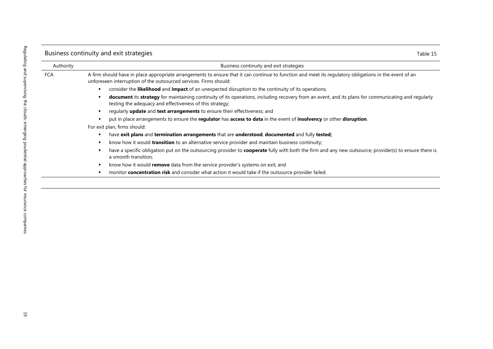## Business continuity and exit strategies Table 15

| Authority | Business continuity and exit strategies                                                                                                                                                                                     |
|-----------|-----------------------------------------------------------------------------------------------------------------------------------------------------------------------------------------------------------------------------|
| FCA       | A firm should have in place appropriate arrangements to ensure that it can continue to function and meet its regulatory obligations in the event of an<br>unforeseen interruption of the outsourced services. Firms should: |
|           | consider the likelihood and impact of an unexpected disruption to the continuity of its operations;<br>٠                                                                                                                    |
|           | document its strategy for maintaining continuity of its operations, including recovery from an event, and its plans for communicating and regularly<br>testing the adequacy and effectiveness of this strategy;             |
|           | regularly <b>update</b> and <b>test arrangements</b> to ensure their effectiveness; and                                                                                                                                     |
|           | put in place arrangements to ensure the regulator has access to data in the event of insolvency or other disruption.                                                                                                        |
|           | For exit plan, firms should:                                                                                                                                                                                                |
|           | have exit plans and termination arrangements that are understood, documented and fully tested;<br>٠                                                                                                                         |
|           | know how it would <b>transition</b> to an alternative service provider and maintain business continuity;                                                                                                                    |
|           | have a specific obligation put on the outsourcing provider to <b>cooperate</b> fully with both the firm and any new outsource; provider(s) to ensure there is<br>a smooth transition;                                       |
|           | know how it would remove data from the service provider's systems on exit; and<br>٠                                                                                                                                         |
|           | monitor concentration risk and consider what action it would take if the outsource provider failed.                                                                                                                         |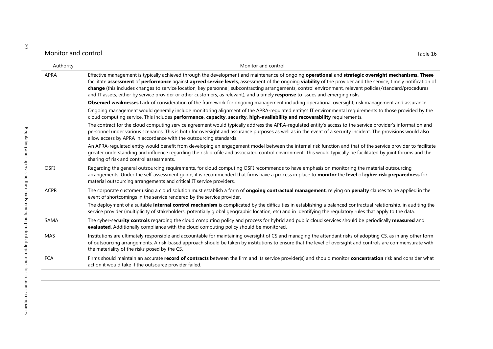### Monitor and control Table 16

| Authority | Monitor and control                                                                                                                                                                                                                                                                                                                                                                                                                                                                                                                                                                                                    |
|-----------|------------------------------------------------------------------------------------------------------------------------------------------------------------------------------------------------------------------------------------------------------------------------------------------------------------------------------------------------------------------------------------------------------------------------------------------------------------------------------------------------------------------------------------------------------------------------------------------------------------------------|
| APRA      | Effective management is typically achieved through the development and maintenance of ongoing operational and strategic oversight mechanisms. These<br>facilitate assessment of performance against agreed service levels, assessment of the ongoing viability of the provider and the service, timely notification of<br>change (this includes changes to service location, key personnel, subcontracting arrangements, control environment, relevant policies/standard/procedures<br>and IT assets, either by service provider or other customers, as relevant), and a timely response to issues and emerging risks. |
|           | Observed weaknesses Lack of consideration of the framework for ongoing management including operational oversight, risk management and assurance.                                                                                                                                                                                                                                                                                                                                                                                                                                                                      |
|           | Ongoing management would generally include monitoring alignment of the APRA-regulated entity's IT environmental requirements to those provided by the<br>cloud computing service. This includes performance, capacity, security, high-availability and recoverability requirements.                                                                                                                                                                                                                                                                                                                                    |
|           | The contract for the cloud computing service agreement would typically address the APRA-regulated entity's access to the service provider's information and<br>personnel under various scenarios. This is both for oversight and assurance purposes as well as in the event of a security incident. The provisions would also<br>allow access by APRA in accordance with the outsourcing standards.                                                                                                                                                                                                                    |
|           | An APRA-regulated entity would benefit from developing an engagement model between the internal risk function and that of the service provider to facilitate<br>greater understanding and influence regarding the risk profile and associated control environment. This would typically be facilitated by joint forums and the<br>sharing of risk and control assessments.                                                                                                                                                                                                                                             |
| OSFI      | Regarding the general outsourcing requirements, for cloud computing OSFI recommends to have emphasis on monitoring the material outsourcing<br>arrangements. Under the self-assessment guide, it is recommended that firms have a process in place to monitor the level of cyber risk preparedness for<br>material outsourcing arrangements and critical IT service providers.                                                                                                                                                                                                                                         |
| ACPR      | The corporate customer using a cloud solution must establish a form of <b>ongoing contractual management</b> , relying on <b>penalty</b> clauses to be applied in the<br>event of shortcomings in the service rendered by the service provider.<br>The deployment of a suitable internal control mechanism is complicated by the difficulties in establishing a balanced contractual relationship, in auditing the<br>service provider (multiplicity of stakeholders, potentially global geographic location, etc) and in identifying the regulatory rules that apply to the data.                                     |
| SAMA      | The cyber-security controls regarding the cloud computing policy and process for hybrid and public cloud services should be periodically measured and<br>evaluated. Additionally compliance with the cloud computing policy should be monitored.                                                                                                                                                                                                                                                                                                                                                                       |
| MAS       | Institutions are ultimately responsible and accountable for maintaining oversight of CS and managing the attendant risks of adopting CS, as in any other form<br>of outsourcing arrangements. A risk-based approach should be taken by institutions to ensure that the level of oversight and controls are commensurate with<br>the materiality of the risks posed by the CS.                                                                                                                                                                                                                                          |
| FCA       | Firms should maintain an accurate record of contracts between the firm and its service provider(s) and should monitor concentration risk and consider what<br>action it would take if the outsource provider failed.                                                                                                                                                                                                                                                                                                                                                                                                   |

20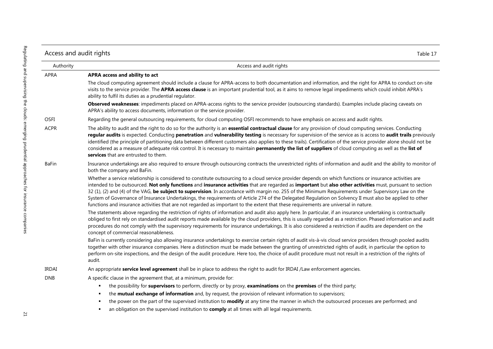| Access and audit rights<br>Table 17 |                                                                                                                                                                                                                                                                                                                                                                                                                                                                                                                                                                                                                                                                                                                                                                                     |
|-------------------------------------|-------------------------------------------------------------------------------------------------------------------------------------------------------------------------------------------------------------------------------------------------------------------------------------------------------------------------------------------------------------------------------------------------------------------------------------------------------------------------------------------------------------------------------------------------------------------------------------------------------------------------------------------------------------------------------------------------------------------------------------------------------------------------------------|
| Authority                           | Access and audit rights                                                                                                                                                                                                                                                                                                                                                                                                                                                                                                                                                                                                                                                                                                                                                             |
| APRA                                | APRA access and ability to act                                                                                                                                                                                                                                                                                                                                                                                                                                                                                                                                                                                                                                                                                                                                                      |
|                                     | The cloud computing agreement should include a clause for APRA-access to both documentation and information, and the right for APRA to conduct on-site<br>visits to the service provider. The APRA access clause is an important prudential tool, as it aims to remove legal impediments which could inhibit APRA's<br>ability to fulfil its duties as a prudential regulator.                                                                                                                                                                                                                                                                                                                                                                                                      |
|                                     | Observed weaknesses: impediments placed on APRA-access rights to the service provider (outsourcing standards). Examples include placing caveats on<br>APRA's ability to access documents, information or the service provider.                                                                                                                                                                                                                                                                                                                                                                                                                                                                                                                                                      |
| OSFI                                | Regarding the general outsourcing requirements, for cloud computing OSFI recommends to have emphasis on access and audit rights.                                                                                                                                                                                                                                                                                                                                                                                                                                                                                                                                                                                                                                                    |
| <b>ACPR</b>                         | The ability to audit and the right to do so for the authority is an essential contractual clause for any provision of cloud computing services. Conducting<br>regular audits is expected. Conducting penetration and vulnerability testing is necessary for supervision of the service as is access to audit trails previously<br>identified (the principle of partitioning data between different customers also applies to these trails). Certification of the service provider alone should not be<br>considered as a measure of adequate risk control. It is necessary to maintain permanently the list of suppliers of cloud computing as well as the list of<br>services that are entrusted to them.                                                                          |
| <b>BaFin</b>                        | Insurance undertakings are also required to ensure through outsourcing contracts the unrestricted rights of information and audit and the ability to monitor of<br>both the company and BaFin.                                                                                                                                                                                                                                                                                                                                                                                                                                                                                                                                                                                      |
|                                     | Whether a service relationship is considered to constitute outsourcing to a cloud service provider depends on which functions or insurance activities are<br>intended to be outsourced. Not only functions and insurance activities that are regarded as important but also other activities must, pursuant to section<br>32 (1), (2) and (4) of the VAG, be subject to supervision. In accordance with margin no. 255 of the Minimum Requirements under Supervisory Law on the<br>System of Governance of Insurance Undertakings, the requirements of Article 274 of the Delegated Regulation on Solvency II must also be applied to other<br>functions and insurance activities that are not regarded as important to the extent that these requirements are universal in nature. |
|                                     | The statements above regarding the restriction of rights of information and audit also apply here. In particular, if an insurance undertaking is contractually<br>obliged to first rely on standardised audit reports made available by the cloud providers, this is usually regarded as a restriction. Phased information and audit<br>procedures do not comply with the supervisory requirements for insurance undertakings. It is also considered a restriction if audits are dependent on the<br>concept of commercial reasonableness.                                                                                                                                                                                                                                          |
|                                     | BaFin is currently considering also allowing insurance undertakings to exercise certain rights of audit vis-à-vis cloud service providers through pooled audits<br>together with other insurance companies. Here a distinction must be made between the granting of unrestricted rights of audit, in particular the option to<br>perform on-site inspections, and the design of the audit procedure. Here too, the choice of audit procedure must not result in a restriction of the rights of<br>audit.                                                                                                                                                                                                                                                                            |
| IRDAI                               | An appropriate service level agreement shall be in place to address the right to audit for IRDAI /Law enforcement agencies.                                                                                                                                                                                                                                                                                                                                                                                                                                                                                                                                                                                                                                                         |
| <b>DNB</b>                          | A specific clause in the agreement that, at a minimum, provide for:                                                                                                                                                                                                                                                                                                                                                                                                                                                                                                                                                                                                                                                                                                                 |
|                                     | the possibility for supervisors to perform, directly or by proxy, examinations on the premises of the third party;                                                                                                                                                                                                                                                                                                                                                                                                                                                                                                                                                                                                                                                                  |
|                                     | the mutual exchange of information and, by request, the provision of relevant information to supervisors;                                                                                                                                                                                                                                                                                                                                                                                                                                                                                                                                                                                                                                                                           |
|                                     | the power on the part of the supervised institution to modify at any time the manner in which the outsourced processes are performed; and                                                                                                                                                                                                                                                                                                                                                                                                                                                                                                                                                                                                                                           |
|                                     | an obligation on the supervised institution to comply at all times with all legal requirements.                                                                                                                                                                                                                                                                                                                                                                                                                                                                                                                                                                                                                                                                                     |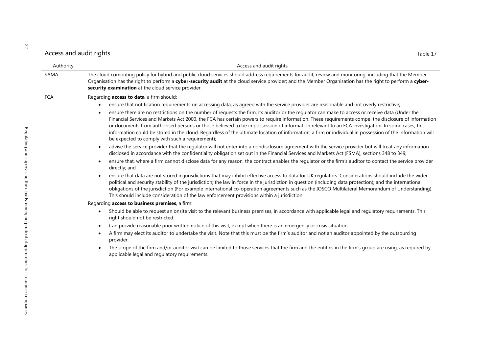| Access and audit rights | able 17 ، |
|-------------------------|-----------|
|                         |           |

| Authority | Access and audit rights                                                                                                                                                                                                                                                                                                                                                                                                                                                                                                                                                                                                                                                               |
|-----------|---------------------------------------------------------------------------------------------------------------------------------------------------------------------------------------------------------------------------------------------------------------------------------------------------------------------------------------------------------------------------------------------------------------------------------------------------------------------------------------------------------------------------------------------------------------------------------------------------------------------------------------------------------------------------------------|
| SAMA      | The cloud computing policy for hybrid and public cloud services should address requirements for audit, review and monitoring, including that the Member<br>Organisation has the right to perform a cyber-security audit at the cloud service provider; and the Member Organisation has the right to perform a cyber-<br>security examination at the cloud service provider.                                                                                                                                                                                                                                                                                                           |
| FCA       | Regarding access to data, a firm should:                                                                                                                                                                                                                                                                                                                                                                                                                                                                                                                                                                                                                                              |
|           | ensure that notification requirements on accessing data, as agreed with the service provider are reasonable and not overly restrictive;<br>$\bullet$                                                                                                                                                                                                                                                                                                                                                                                                                                                                                                                                  |
|           | ensure there are no restrictions on the number of requests the firm, its auditor or the regulator can make to access or receive data (Under the<br>$\bullet$<br>Financial Services and Markets Act 2000, the FCA has certain powers to require information. These requirements compel the disclosure of information<br>or documents from authorised persons or those believed to be in possession of information relevant to an FCA investigation. In some cases, this<br>information could be stored in the cloud. Regardless of the ultimate location of information, a firm or individual in possession of the information will<br>be expected to comply with such a requirement); |
|           | advise the service provider that the regulator will not enter into a nondisclosure agreement with the service provider but will treat any information<br>$\bullet$<br>disclosed in accordance with the confidentiality obligation set out in the Financial Services and Markets Act (FSMA), sections 348 to 349;                                                                                                                                                                                                                                                                                                                                                                      |
|           | ensure that, where a firm cannot disclose data for any reason, the contract enables the regulator or the firm's auditor to contact the service provider<br>$\bullet$<br>directly; and                                                                                                                                                                                                                                                                                                                                                                                                                                                                                                 |
|           | ensure that data are not stored in jurisdictions that may inhibit effective access to data for UK regulators. Considerations should include the wider<br>$\bullet$<br>political and security stability of the jurisdiction; the law in force in the jurisdiction in question (including data protection); and the international<br>obligations of the jurisdiction (For example international co-operation agreements such as the IOSCO Multilateral Memorandum of Understanding).<br>This should include consideration of the law enforcement provisions within a jurisdiction                                                                                                       |
|           | Regarding access to business premises, a firm:                                                                                                                                                                                                                                                                                                                                                                                                                                                                                                                                                                                                                                        |
|           | Should be able to request an onsite visit to the relevant business premises, in accordance with applicable legal and regulatory requirements. This<br>$\bullet$<br>right should not be restricted.                                                                                                                                                                                                                                                                                                                                                                                                                                                                                    |
|           |                                                                                                                                                                                                                                                                                                                                                                                                                                                                                                                                                                                                                                                                                       |

- Can provide reasonable prior written notice of this visit, except when there is an emergency or crisis situation.
- A firm may elect its auditor to undertake the visit. Note that this must be the firm's auditor and not an auditor appointed by the outsourcing provider.
- The scope of the firm and/or auditor visit can be limited to those services that the firm and the entities in the firm's group are using, as required by applicable legal and regulatory requirements.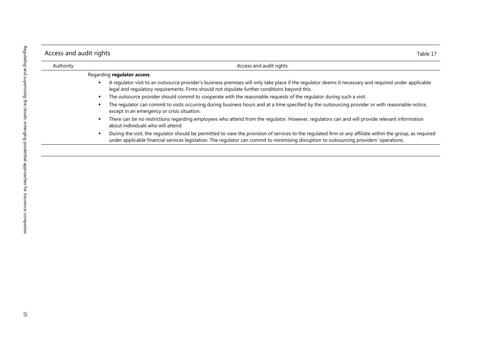| Access and audit rights |                                                                                                                                                                                                                                                                                                        |
|-------------------------|--------------------------------------------------------------------------------------------------------------------------------------------------------------------------------------------------------------------------------------------------------------------------------------------------------|
| Authority               | Access and audit rights                                                                                                                                                                                                                                                                                |
|                         | Regarding regulator access:                                                                                                                                                                                                                                                                            |
|                         | A regulator visit to an outsource provider's business premises will only take place if the regulator deems it necessary and required under applicable<br>legal and regulatory requirements. Firms should not stipulate further conditions beyond this.                                                 |
|                         | The outsource provider should commit to cooperate with the reasonable requests of the regulator during such a visit.                                                                                                                                                                                   |
|                         | The regulator can commit to visits occurring during business hours and at a time specified by the outsourcing provider or with reasonable notice,<br>except in an emergency or crisis situation.                                                                                                       |
|                         | There can be no restrictions regarding employees who attend from the regulator. However, regulators can and will provide relevant information<br>about individuals who will attend.                                                                                                                    |
|                         | During the visit, the regulator should be permitted to view the provision of services to the regulated firm or any affiliate within the group, as required<br>under applicable financial services legislation. The regulator can commit to minimising disruption to outsourcing providers' operations. |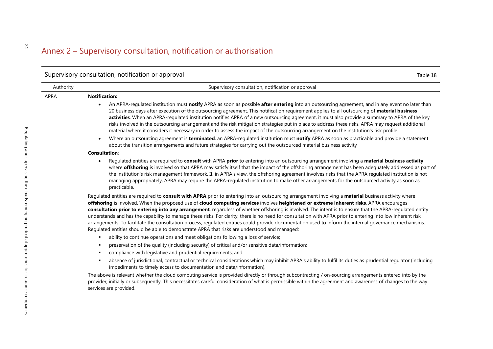# Annex 2 – Supervisory consultation, notification or authorisation

|           | Supervisory consultation, notification or approval<br>Table 18                                                                                                                                                                                                                                                                                                                                                                                                                                                                                                                                                                                                                                                                                                                                                                                                                         |
|-----------|----------------------------------------------------------------------------------------------------------------------------------------------------------------------------------------------------------------------------------------------------------------------------------------------------------------------------------------------------------------------------------------------------------------------------------------------------------------------------------------------------------------------------------------------------------------------------------------------------------------------------------------------------------------------------------------------------------------------------------------------------------------------------------------------------------------------------------------------------------------------------------------|
| Authority | Supervisory consultation, notification or approval                                                                                                                                                                                                                                                                                                                                                                                                                                                                                                                                                                                                                                                                                                                                                                                                                                     |
| APRA      | <b>Notification:</b>                                                                                                                                                                                                                                                                                                                                                                                                                                                                                                                                                                                                                                                                                                                                                                                                                                                                   |
|           | An APRA-regulated institution must notify APRA as soon as possible after entering into an outsourcing agreement, and in any event no later than<br>$\bullet$<br>20 business days after execution of the outsourcing agreement. This notification requirement applies to all outsourcing of material business<br>activities. When an APRA-regulated institution notifies APRA of a new outsourcing agreement, it must also provide a summary to APRA of the key<br>risks involved in the outsourcing arrangement and the risk mitigation strategies put in place to address these risks. APRA may request additional<br>material where it considers it necessary in order to assess the impact of the outsourcing arrangement on the institution's risk profile.                                                                                                                        |
|           | Where an outsourcing agreement is terminated, an APRA-regulated institution must notify APRA as soon as practicable and provide a statement<br>$\bullet$<br>about the transition arrangements and future strategies for carrying out the outsourced material business activity                                                                                                                                                                                                                                                                                                                                                                                                                                                                                                                                                                                                         |
|           | <b>Consultation:</b>                                                                                                                                                                                                                                                                                                                                                                                                                                                                                                                                                                                                                                                                                                                                                                                                                                                                   |
|           | Regulated entities are required to consult with APRA prior to entering into an outsourcing arrangement involving a material business activity<br>where offshoring is involved so that APRA may satisfy itself that the impact of the offshoring arrangement has been adequately addressed as part of<br>the institution's risk management framework. If, in APRA's view, the offshoring agreement involves risks that the APRA regulated institution is not<br>managing appropriately, APRA may require the APRA-regulated institution to make other arrangements for the outsourced activity as soon as<br>practicable.                                                                                                                                                                                                                                                               |
|           | Regulated entities are required to consult with APRA prior to entering into an outsourcing arrangement involving a material business activity where<br>offshoring is involved. When the proposed use of cloud computing services involves heightened or extreme inherent risks, APRA encourages<br>consultation prior to entering into any arrangement, regardless of whether offshoring is involved. The intent is to ensure that the APRA-regulated entity<br>understands and has the capability to manage these risks. For clarity, there is no need for consultation with APRA prior to entering into low inherent risk<br>arrangements. To facilitate the consultation process, regulated entities could provide documentation used to inform the internal governance mechanisms.<br>Regulated entities should be able to demonstrate APRA that risks are understood and managed: |
|           | ability to continue operations and meet obligations following a loss of service;<br>п.                                                                                                                                                                                                                                                                                                                                                                                                                                                                                                                                                                                                                                                                                                                                                                                                 |
|           | preservation of the quality (including security) of critical and/or sensitive data/information;<br>٠                                                                                                                                                                                                                                                                                                                                                                                                                                                                                                                                                                                                                                                                                                                                                                                   |
|           | compliance with legislative and prudential requirements; and<br>٠                                                                                                                                                                                                                                                                                                                                                                                                                                                                                                                                                                                                                                                                                                                                                                                                                      |
|           | absence of jurisdictional, contractual or technical considerations which may inhibit APRA's ability to fulfil its duties as prudential regulator (including<br>impediments to timely access to documentation and data/information).                                                                                                                                                                                                                                                                                                                                                                                                                                                                                                                                                                                                                                                    |
|           | The above is relevant whether the cloud computing service is provided directly or through subcontracting / on-sourcing arrangements entered into by the<br>provider, initially or subsequently. This necessitates careful consideration of what is permissible within the agreement and awareness of changes to the way<br>services are provided.                                                                                                                                                                                                                                                                                                                                                                                                                                                                                                                                      |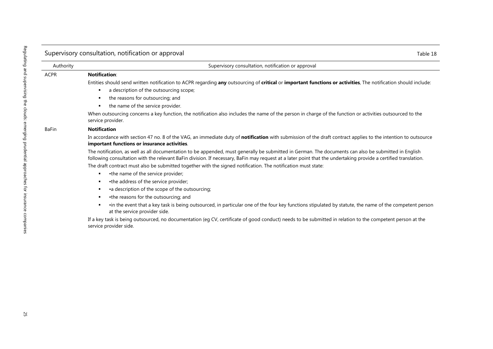|              | Supervisory consultation, notification or approval<br>Table 18                                                                                                                                                                                                                                                          |
|--------------|-------------------------------------------------------------------------------------------------------------------------------------------------------------------------------------------------------------------------------------------------------------------------------------------------------------------------|
| Authority    | Supervisory consultation, notification or approval                                                                                                                                                                                                                                                                      |
| <b>ACPR</b>  | <b>Notification:</b>                                                                                                                                                                                                                                                                                                    |
|              | Entities should send written notification to ACPR regarding any outsourcing of critical or important functions or activities, The notification should include:                                                                                                                                                          |
|              | a description of the outsourcing scope;<br>п.                                                                                                                                                                                                                                                                           |
|              | the reasons for outsourcing; and                                                                                                                                                                                                                                                                                        |
|              | the name of the service provider.                                                                                                                                                                                                                                                                                       |
|              | When outsourcing concerns a key function, the notification also includes the name of the person in charge of the function or activities outsourced to the<br>service provider.                                                                                                                                          |
| <b>BaFin</b> | <b>Notification</b>                                                                                                                                                                                                                                                                                                     |
|              | In accordance with section 47 no. 8 of the VAG, an immediate duty of notification with submission of the draft contract applies to the intention to outsource<br>important functions or insurance activities.                                                                                                           |
|              | The notification, as well as all documentation to be appended, must generally be submitted in German. The documents can also be submitted in English<br>following consultation with the relevant BaFin division. If necessary, BaFin may request at a later point that the undertaking provide a certified translation. |
|              | The draft contract must also be submitted together with the signed notification. The notification must state:                                                                                                                                                                                                           |
|              | •the name of the service provider;<br>$\blacksquare$                                                                                                                                                                                                                                                                    |
|              | •the address of the service provider;                                                                                                                                                                                                                                                                                   |
|              | •a description of the scope of the outsourcing;<br>п.                                                                                                                                                                                                                                                                   |
|              | •the reasons for the outsourcing; and<br>$\blacksquare$                                                                                                                                                                                                                                                                 |
|              | •in the event that a key task is being outsourced, in particular one of the four key functions stipulated by statute, the name of the competent person<br>at the service provider side.                                                                                                                                 |
|              | If a key task is being outsourced, no documentation (eg CV, certificate of good conduct) needs to be submitted in relation to the competent person at the<br>service provider side.                                                                                                                                     |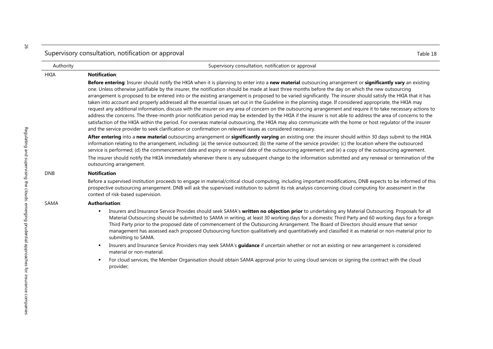| Authority   | Supervisory consultation, notification or approval                                                                                                                                                                                                                                                                                                                                                                                                                                                                                                                                                                                                                                                                                                                                                                                                                                                                                                                                                                                                                                                                                                                                                                                                                |  |
|-------------|-------------------------------------------------------------------------------------------------------------------------------------------------------------------------------------------------------------------------------------------------------------------------------------------------------------------------------------------------------------------------------------------------------------------------------------------------------------------------------------------------------------------------------------------------------------------------------------------------------------------------------------------------------------------------------------------------------------------------------------------------------------------------------------------------------------------------------------------------------------------------------------------------------------------------------------------------------------------------------------------------------------------------------------------------------------------------------------------------------------------------------------------------------------------------------------------------------------------------------------------------------------------|--|
| <b>HKIA</b> | <b>Notification:</b>                                                                                                                                                                                                                                                                                                                                                                                                                                                                                                                                                                                                                                                                                                                                                                                                                                                                                                                                                                                                                                                                                                                                                                                                                                              |  |
|             | Before entering: Insurer should notify the HKIA when it is planning to enter into a new material outsourcing arrangement or significantly vary an existing<br>one. Unless otherwise justifiable by the insurer, the notification should be made at least three months before the day on which the new outsourcing<br>arrangement is proposed to be entered into or the existing arrangement is proposed to be varied significantly. The insurer should satisfy the HKIA that it has<br>taken into account and properly addressed all the essential issues set out in the Guideline in the planning stage. If considered appropriate, the HKIA may<br>request any additional information, discuss with the insurer on any area of concern on the outsourcing arrangement and require it to take necessary actions to<br>address the concerns. The three-month prior notification period may be extended by the HKIA if the insurer is not able to address the area of concerns to the<br>satisfaction of the HKIA within the period. For overseas material outsourcing, the HKIA may also communicate with the home or host regulator of the insurer<br>and the service provider to seek clarification or confirmation on relevant issues as considered necessary. |  |
|             | After entering into a new material outsourcing arrangement or significantly varying an existing one: the insurer should within 30 days submit to the HKIA<br>information relating to the arrangement, including: (a) the service outsourced; (b) the name of the service provider; (c) the location where the outsourced<br>service is performed; (d) the commencement date and expiry or renewal date of the outsourcing agreement; and (e) a copy of the outsourcing agreement.                                                                                                                                                                                                                                                                                                                                                                                                                                                                                                                                                                                                                                                                                                                                                                                 |  |
|             | The insurer should notify the HKIA immediately whenever there is any subsequent change to the information submitted and any renewal or termination of the<br>outsourcing arrangement.                                                                                                                                                                                                                                                                                                                                                                                                                                                                                                                                                                                                                                                                                                                                                                                                                                                                                                                                                                                                                                                                             |  |
| <b>DNB</b>  | <b>Notification</b>                                                                                                                                                                                                                                                                                                                                                                                                                                                                                                                                                                                                                                                                                                                                                                                                                                                                                                                                                                                                                                                                                                                                                                                                                                               |  |
|             | Before a supervised institution proceeds to engage in material/critical cloud computing, including important modifications, DNB expects to be informed of this<br>prospective outsourcing arrangement. DNB will ask the supervised institution to submit its risk analysis concerning cloud computing for assessment in the<br>context of risk-based supervision.                                                                                                                                                                                                                                                                                                                                                                                                                                                                                                                                                                                                                                                                                                                                                                                                                                                                                                 |  |
| SAMA        | <b>Authorisation:</b>                                                                                                                                                                                                                                                                                                                                                                                                                                                                                                                                                                                                                                                                                                                                                                                                                                                                                                                                                                                                                                                                                                                                                                                                                                             |  |
|             | Insurers and Insurance Service Provides should seek SAMA's written no objection prior to undertaking any Material Outsourcing. Proposals for all<br>٠<br>Material Outsourcing should be submitted to SAMA in writing, at least 30 working days for a domestic Third Party and 60 working days for a foreign<br>Third Party prior to the proposed date of commencement of the Outsourcing Arrangement. The Board of Directors should ensure that senior<br>management has assessed each proposed Outsourcing function qualitatively and quantitatively and classified it as material or non-material prior to<br>submitting to SAMA.                                                                                                                                                                                                                                                                                                                                                                                                                                                                                                                                                                                                                               |  |
|             | Insurers and Insurance Service Providers may seek SAMA's guidance if uncertain whether or not an existing or new arrangement is considered<br>٠<br>material or non-material.                                                                                                                                                                                                                                                                                                                                                                                                                                                                                                                                                                                                                                                                                                                                                                                                                                                                                                                                                                                                                                                                                      |  |
|             | For cloud services, the Member Organisation should obtain SAMA approval prior to using cloud services or signing the contract with the cloud<br>٠<br>provider;                                                                                                                                                                                                                                                                                                                                                                                                                                                                                                                                                                                                                                                                                                                                                                                                                                                                                                                                                                                                                                                                                                    |  |

26